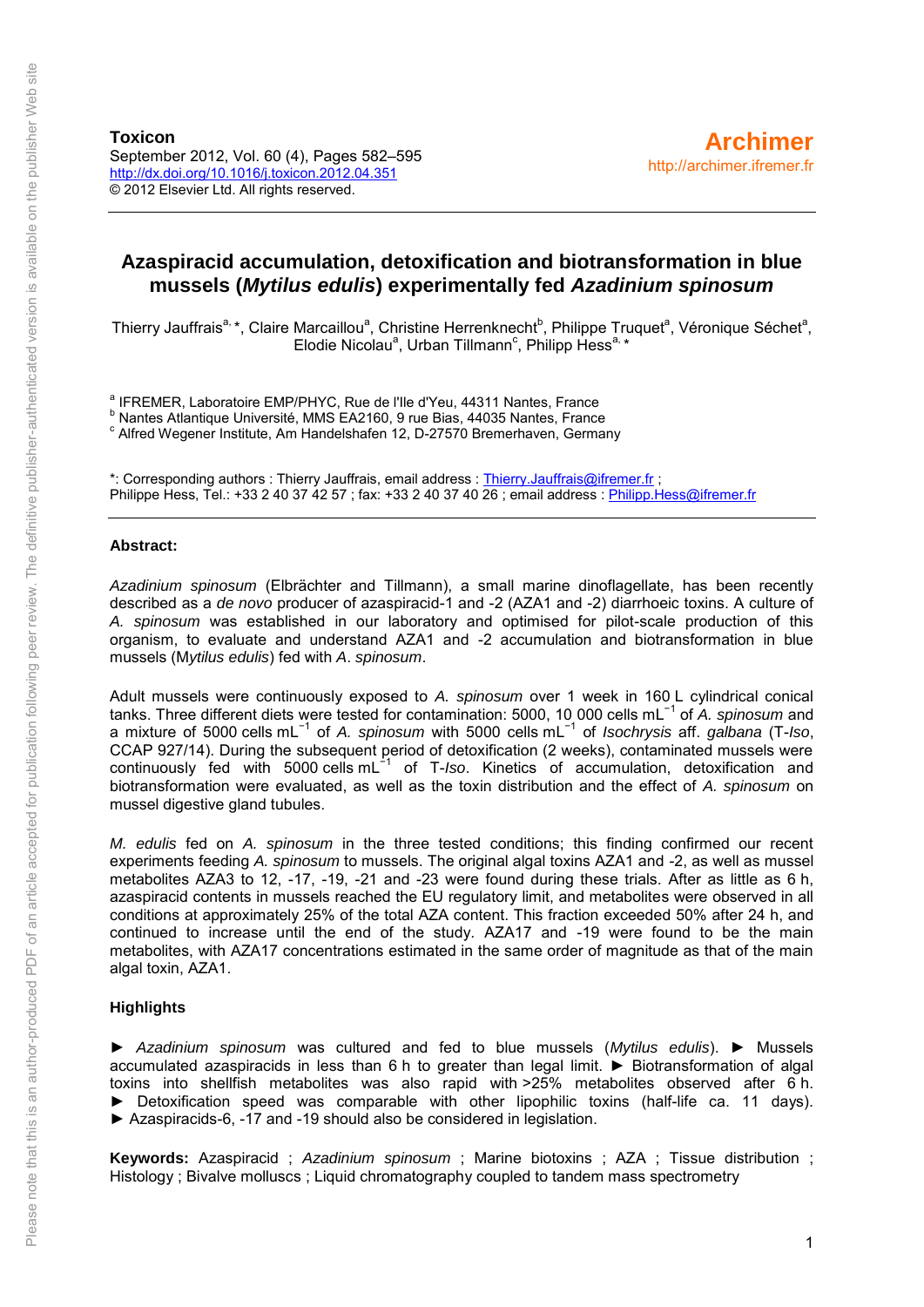### **Azaspiracid accumulation, detoxification and biotransformation in blue mussels (***Mytilus edulis***) experimentally fed** *Azadinium spinosum*

Thierry Jauffrais<sup>a,</sup> \*, Claire Marcaillou<sup>a</sup>, Christine Herrenknecht<sup>b</sup>, Philippe Truquet<sup>a</sup>, Véronique Séchet<sup>a</sup>, Elodie Nicolau<sup>a</sup>, Urban Tillmann<sup>c</sup>, Philipp Hess<sup>a,\*</sup>

<sup>a</sup> IFREMER, Laboratoire EMP/PHYC, Rue de l'Ile d'Yeu, 44311 Nantes, France

<sup>b</sup> Nantes Atlantique Université, MMS EA2160, 9 rue Bias, 44035 Nantes, France

c Alfred Wegener Institute, Am Handelshafen 12, D-27570 Bremerhaven, Germany

\*: Corresponding authors : Thierry Jauffrais, email address : [Thierry.Jauffrais@ifremer.fr](mailto:Thierry.Jauffrais@ifremer.fr) ; Philippe Hess, Tel.: +33 2 40 37 42 57 ; fax: +33 2 40 37 40 26 ; email address : Philipp. Hess@ifremer.fr

#### **Abstract:**

*Azadinium spinosum* (Elbrächter and Tillmann), a small marine dinoflagellate, has been recently described as a *de novo* producer of azaspiracid-1 and -2 (AZA1 and -2) diarrhoeic toxins. A culture of *A. spinosum* was established in our laboratory and optimised for pilot-scale production of this organism, to evaluate and understand AZA1 and -2 accumulation and biotransformation in blue mussels (M*ytilus edulis*) fed with *A*. *spinosum*.

Adult mussels were continuously exposed to *A. spinosum* over 1 week in 160 L cylindrical conical tanks. Three different diets were tested for contamination: 5000, 10 000 cells mL−1 of *A. spinosum* and a mixture of 5000 cells mL−1 of *A. spinosum* with 5000 cells mL−1 of *Isochrysis* aff. *galbana* (T-*Iso*, CCAP 927/14). During the subsequent period of detoxification (2 weeks), contaminated mussels were continuously fed with 5000 cells mL−1 of T-*Iso*. Kinetics of accumulation, detoxification and biotransformation were evaluated, as well as the toxin distribution and the effect of *A. spinosum* on mussel digestive gland tubules.

*M. edulis* fed on *A. spinosum* in the three tested conditions; this finding confirmed our recent experiments feeding *A. spinosum* to mussels. The original algal toxins AZA1 and -2, as well as mussel metabolites AZA3 to 12, -17, -19, -21 and -23 were found during these trials. After as little as 6 h, azaspiracid contents in mussels reached the EU regulatory limit, and metabolites were observed in all conditions at approximately 25% of the total AZA content. This fraction exceeded 50% after 24 h, and continued to increase until the end of the study. AZA17 and -19 were found to be the main metabolites, with AZA17 concentrations estimated in the same order of magnitude as that of the main algal toxin, AZA1.

#### **Highlights**

► *Azadinium spinosum* was cultured and fed to blue mussels (*Mytilus edulis*). ► Mussels accumulated azaspiracids in less than 6 h to greater than legal limit. ► Biotransformation of algal toxins into shellfish metabolites was also rapid with >25% metabolites observed after 6 h. ► Detoxification speed was comparable with other lipophilic toxins (half-life ca. 11 days). ► Azaspiracids-6, -17 and -19 should also be considered in legislation.

**Keywords:** Azaspiracid ; *Azadinium spinosum* ; Marine biotoxins ; AZA ; Tissue distribution ; Histology ; Bivalve molluscs ; Liquid chromatography coupled to tandem mass spectrometry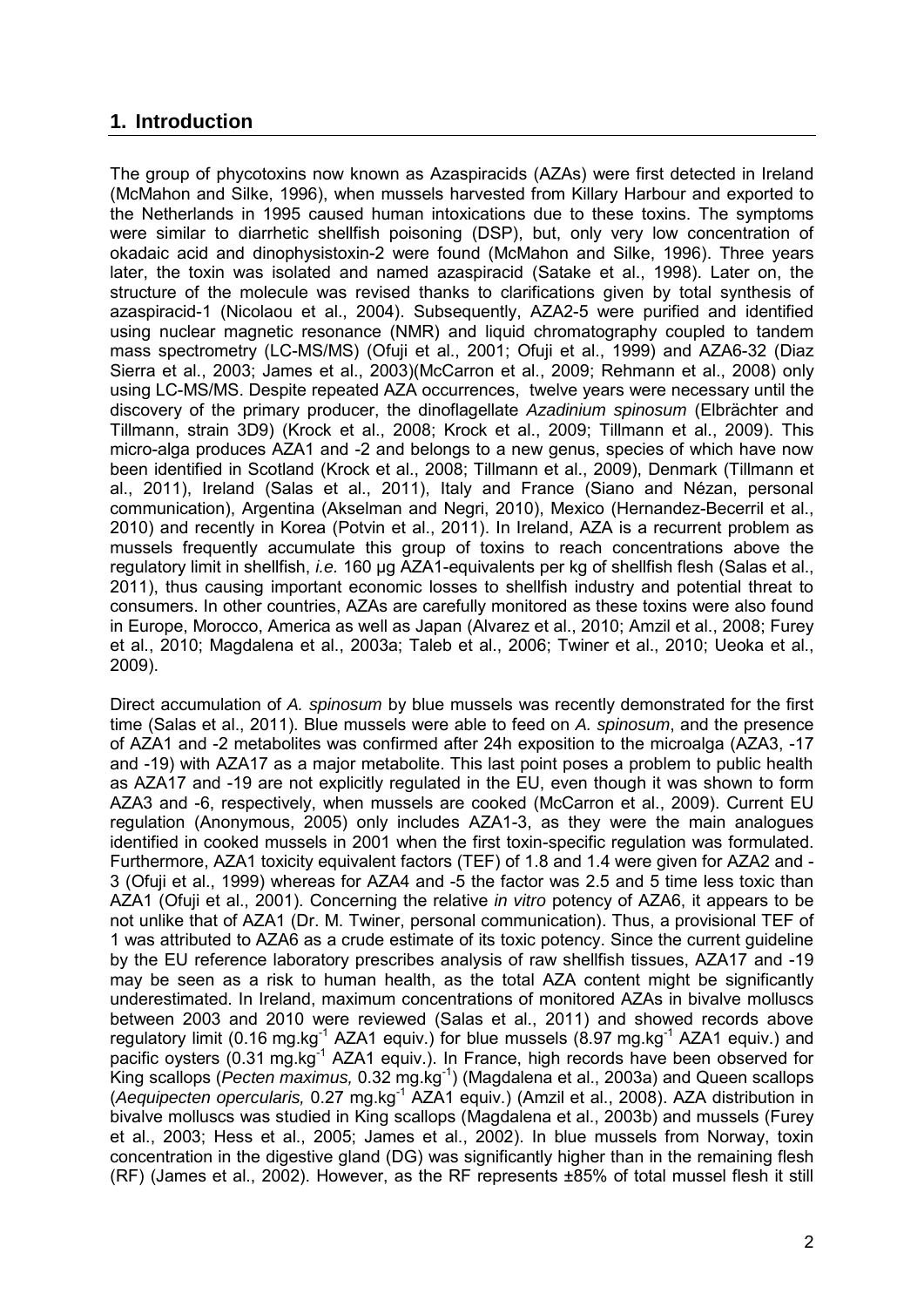## **1. Introduction**

The group of phycotoxins now known as Azaspiracids (AZAs) were first detected in Ireland (McMahon and Silke, 1996), when mussels harvested from Killary Harbour and exported to the Netherlands in 1995 caused human intoxications due to these toxins. The symptoms were similar to diarrhetic shellfish poisoning (DSP), but, only very low concentration of okadaic acid and dinophysistoxin-2 were found (McMahon and Silke, 1996). Three years later, the toxin was isolated and named azaspiracid (Satake et al., 1998). Later on, the structure of the molecule was revised thanks to clarifications given by total synthesis of azaspiracid-1 (Nicolaou et al., 2004). Subsequently, AZA2-5 were purified and identified using nuclear magnetic resonance (NMR) and liquid chromatography coupled to tandem mass spectrometry (LC-MS/MS) (Ofuji et al., 2001; Ofuji et al., 1999) and AZA6-32 (Diaz Sierra et al., 2003; James et al., 2003)(McCarron et al., 2009; Rehmann et al., 2008) only using LC-MS/MS. Despite repeated AZA occurrences, twelve years were necessary until the discovery of the primary producer, the dinoflagellate *Azadinium spinosum* (Elbrächter and Tillmann, strain 3D9) (Krock et al., 2008; Krock et al., 2009; Tillmann et al., 2009). This micro-alga produces AZA1 and -2 and belongs to a new genus, species of which have now been identified in Scotland (Krock et al., 2008; Tillmann et al., 2009), Denmark (Tillmann et al., 2011), Ireland (Salas et al., 2011), Italy and France (Siano and Nézan, personal communication), Argentina (Akselman and Negri, 2010), Mexico (Hernandez-Becerril et al., 2010) and recently in Korea (Potvin et al., 2011). In Ireland, AZA is a recurrent problem as mussels frequently accumulate this group of toxins to reach concentrations above the regulatory limit in shellfish, *i.e.* 160 µg AZA1-equivalents per kg of shellfish flesh (Salas et al., 2011), thus causing important economic losses to shellfish industry and potential threat to consumers. In other countries, AZAs are carefully monitored as these toxins were also found in Europe, Morocco, America as well as Japan (Alvarez et al., 2010; Amzil et al., 2008; Furey et al., 2010; Magdalena et al., 2003a; Taleb et al., 2006; Twiner et al., 2010; Ueoka et al., 2009).

Direct accumulation of *A. spinosum* by blue mussels was recently demonstrated for the first time (Salas et al., 2011). Blue mussels were able to feed on *A. spinosum*, and the presence of AZA1 and -2 metabolites was confirmed after 24h exposition to the microalga (AZA3, -17 and -19) with AZA17 as a major metabolite. This last point poses a problem to public health as AZA17 and -19 are not explicitly regulated in the EU, even though it was shown to form AZA3 and -6, respectively, when mussels are cooked (McCarron et al., 2009). Current EU regulation (Anonymous, 2005) only includes AZA1-3, as they were the main analogues identified in cooked mussels in 2001 when the first toxin-specific regulation was formulated. Furthermore, AZA1 toxicity equivalent factors (TEF) of 1.8 and 1.4 were given for AZA2 and - 3 (Ofuji et al., 1999) whereas for AZA4 and -5 the factor was 2.5 and 5 time less toxic than AZA1 (Ofuji et al., 2001). Concerning the relative *in vitro* potency of AZA6, it appears to be not unlike that of AZA1 (Dr. M. Twiner, personal communication). Thus, a provisional TEF of 1 was attributed to AZA6 as a crude estimate of its toxic potency. Since the current guideline by the EU reference laboratory prescribes analysis of raw shellfish tissues, AZA17 and -19 may be seen as a risk to human health, as the total AZA content might be significantly underestimated. In Ireland, maximum concentrations of monitored AZAs in bivalve molluscs between 2003 and 2010 were reviewed (Salas et al., 2011) and showed records above regulatory limit (0.16 mg.kg<sup>-1</sup> AZA1 equiv.) for blue mussels (8.97 mg.kg<sup>-1</sup> AZA1 equiv.) and pacific oysters (0.31 mg.kg<sup>-1</sup> AZA1 equiv.). In France, high records have been observed for King scallops (*Pecten maximus,* 0.32 mg.kg-1) (Magdalena et al., 2003a) and Queen scallops (*Aequipecten opercularis,* 0.27 mg.kg-1 AZA1 equiv.) (Amzil et al., 2008). AZA distribution in bivalve molluscs was studied in King scallops (Magdalena et al., 2003b) and mussels (Furey et al., 2003; Hess et al., 2005; James et al., 2002). In blue mussels from Norway, toxin concentration in the digestive gland (DG) was significantly higher than in the remaining flesh (RF) (James et al., 2002). However, as the RF represents ±85% of total mussel flesh it still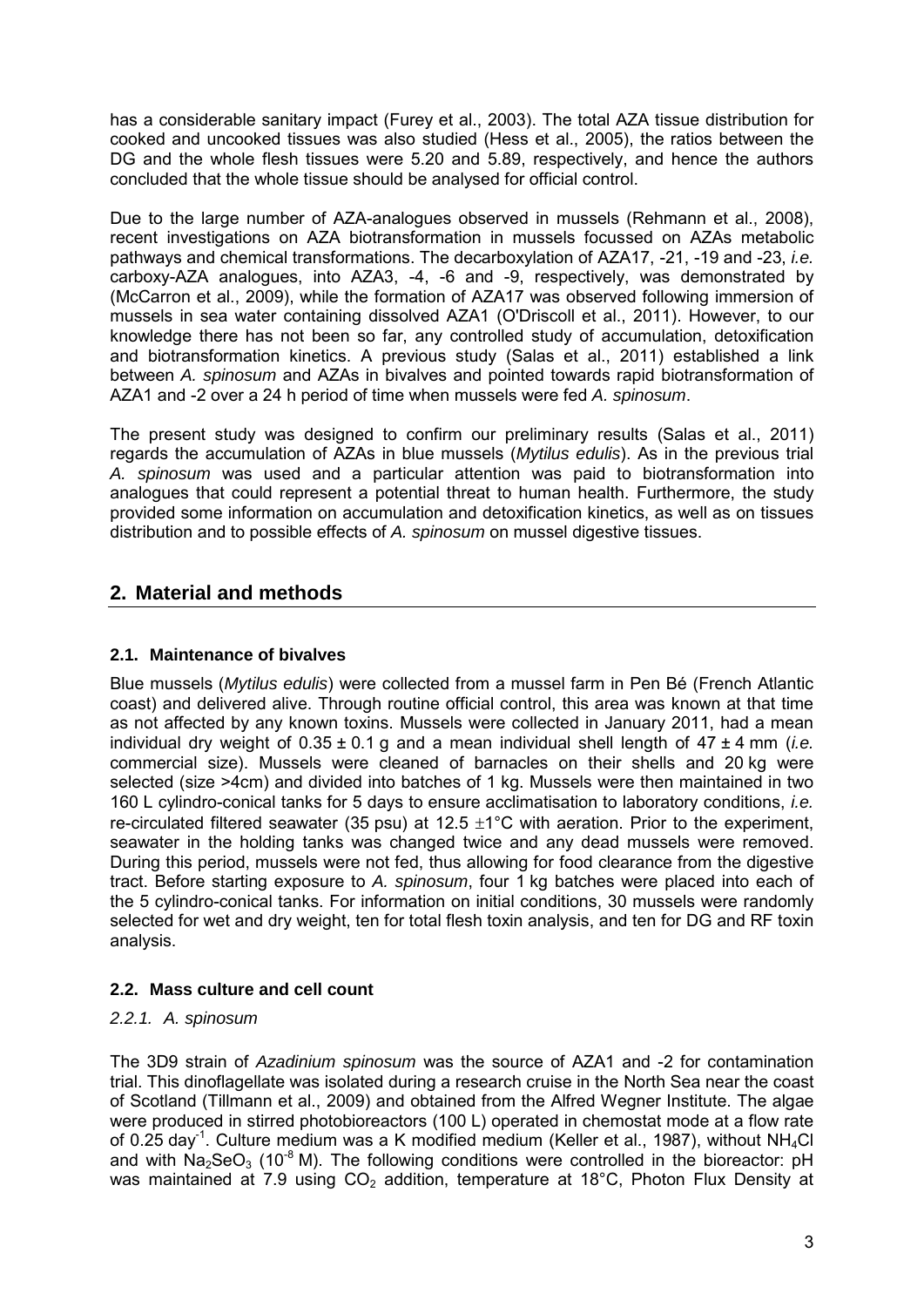has a considerable sanitary impact (Furey et al., 2003). The total AZA tissue distribution for cooked and uncooked tissues was also studied (Hess et al., 2005), the ratios between the DG and the whole flesh tissues were 5.20 and 5.89, respectively, and hence the authors concluded that the whole tissue should be analysed for official control.

Due to the large number of AZA-analogues observed in mussels (Rehmann et al., 2008), recent investigations on AZA biotransformation in mussels focussed on AZAs metabolic pathways and chemical transformations. The decarboxylation of AZA17, -21, -19 and -23, *i.e.* carboxy-AZA analogues, into AZA3, -4, -6 and -9, respectively, was demonstrated by (McCarron et al., 2009), while the formation of AZA17 was observed following immersion of mussels in sea water containing dissolved AZA1 (O'Driscoll et al., 2011). However, to our knowledge there has not been so far, any controlled study of accumulation, detoxification and biotransformation kinetics. A previous study (Salas et al., 2011) established a link between *A. spinosum* and AZAs in bivalves and pointed towards rapid biotransformation of AZA1 and -2 over a 24 h period of time when mussels were fed *A. spinosum*.

The present study was designed to confirm our preliminary results (Salas et al., 2011) regards the accumulation of AZAs in blue mussels (*Mytilus edulis*). As in the previous trial *A. spinosum* was used and a particular attention was paid to biotransformation into analogues that could represent a potential threat to human health. Furthermore, the study provided some information on accumulation and detoxification kinetics, as well as on tissues distribution and to possible effects of *A. spinosum* on mussel digestive tissues.

# **2. Material and methods**

### **2.1. Maintenance of bivalves**

Blue mussels (*Mytilus edulis*) were collected from a mussel farm in Pen Bé (French Atlantic coast) and delivered alive. Through routine official control, this area was known at that time as not affected by any known toxins. Mussels were collected in January 2011, had a mean individual dry weight of 0.35 ± 0.1 g and a mean individual shell length of 47 ± 4 mm (*i.e.* commercial size). Mussels were cleaned of barnacles on their shells and 20 kg were selected (size >4cm) and divided into batches of 1 kg. Mussels were then maintained in two 160 L cylindro-conical tanks for 5 days to ensure acclimatisation to laboratory conditions, *i.e.* re-circulated filtered seawater (35 psu) at 12.5  $\pm$ 1°C with aeration. Prior to the experiment, seawater in the holding tanks was changed twice and any dead mussels were removed. During this period, mussels were not fed, thus allowing for food clearance from the digestive tract. Before starting exposure to *A. spinosum*, four 1 kg batches were placed into each of the 5 cylindro-conical tanks. For information on initial conditions, 30 mussels were randomly selected for wet and dry weight, ten for total flesh toxin analysis, and ten for DG and RF toxin analysis.

## **2.2. Mass culture and cell count**

### *2.2.1. A. spinosum*

The 3D9 strain of *Azadinium spinosum* was the source of AZA1 and -2 for contamination trial. This dinoflagellate was isolated during a research cruise in the North Sea near the coast of Scotland (Tillmann et al., 2009) and obtained from the Alfred Wegner Institute. The algae were produced in stirred photobioreactors (100 L) operated in chemostat mode at a flow rate of 0.25 day<sup>-1</sup>. Culture medium was a K modified medium (Keller et al., 1987), without NH<sub>4</sub>Cl and with  $Na<sub>2</sub>SeO<sub>3</sub>$  (10<sup>-8</sup> M). The following conditions were controlled in the bioreactor: pH was maintained at 7.9 using  $CO<sub>2</sub>$  addition, temperature at 18°C, Photon Flux Density at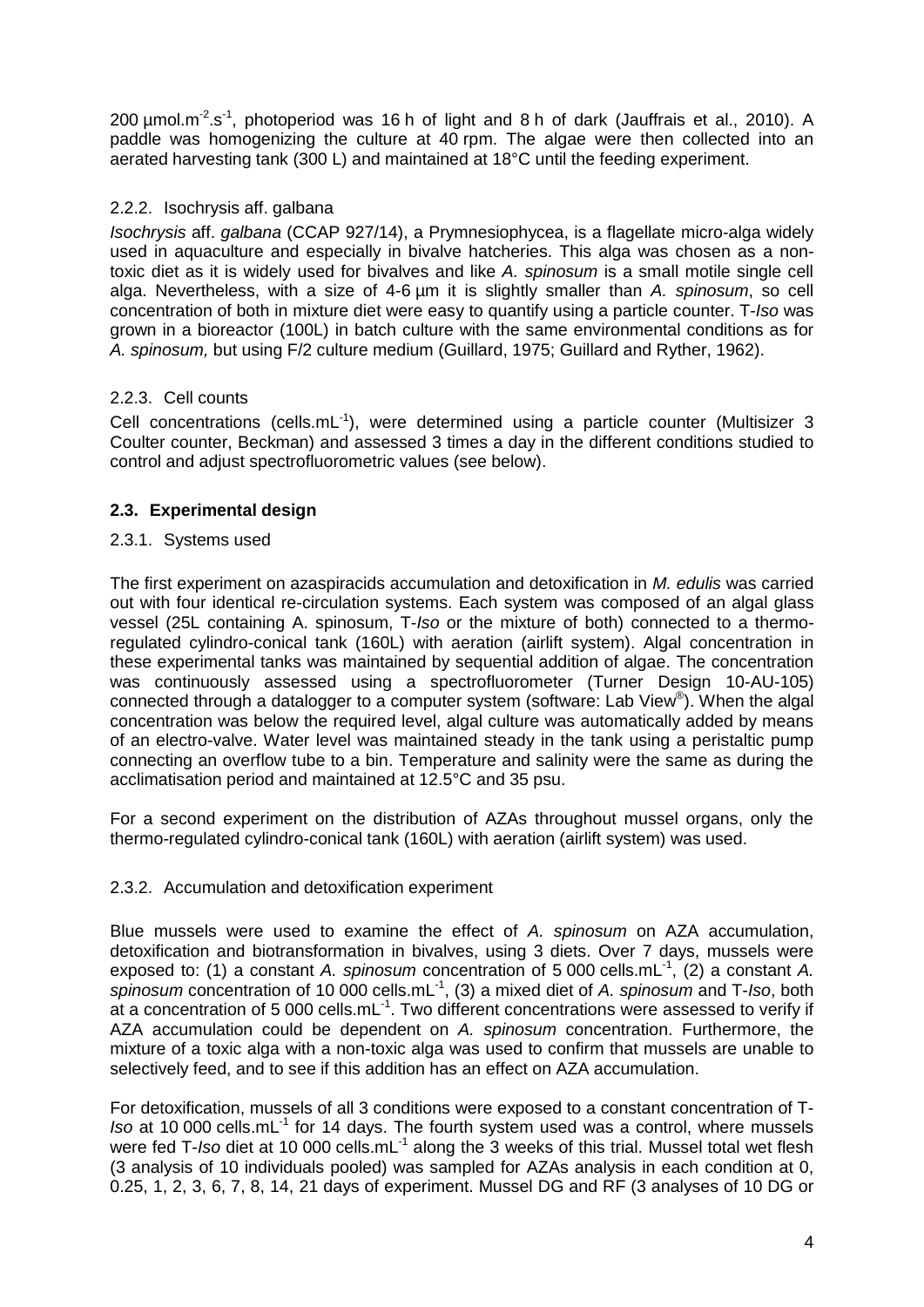200  $\mu$ mol.m<sup>-2</sup>.s<sup>-1</sup>, photoperiod was 16 h of light and 8 h of dark (Jauffrais et al., 2010). A paddle was homogenizing the culture at 40 rpm. The algae were then collected into an aerated harvesting tank (300 L) and maintained at 18°C until the feeding experiment.

### 2.2.2. Isochrysis aff. galbana

*Isochrysis* aff. *galbana* (CCAP 927/14), a Prymnesiophycea, is a flagellate micro-alga widely used in aquaculture and especially in bivalve hatcheries. This alga was chosen as a nontoxic diet as it is widely used for bivalves and like *A. spinosum* is a small motile single cell alga. Nevertheless, with a size of 4-6 µm it is slightly smaller than *A. spinosum*, so cell concentration of both in mixture diet were easy to quantify using a particle counter. T-*Iso* was grown in a bioreactor (100L) in batch culture with the same environmental conditions as for *A. spinosum,* but using F/2 culture medium (Guillard, 1975; Guillard and Ryther, 1962).

### 2.2.3. Cell counts

Cell concentrations (cells.mL $<sup>-1</sup>$ ), were determined using a particle counter (Multisizer 3</sup> Coulter counter, Beckman) and assessed 3 times a day in the different conditions studied to control and adjust spectrofluorometric values (see below).

### **2.3. Experimental design**

### 2.3.1. Systems used

The first experiment on azaspiracids accumulation and detoxification in *M. edulis* was carried out with four identical re-circulation systems. Each system was composed of an algal glass vessel (25L containing A. spinosum, T-*Iso* or the mixture of both) connected to a thermoregulated cylindro-conical tank (160L) with aeration (airlift system). Algal concentration in these experimental tanks was maintained by sequential addition of algae. The concentration was continuously assessed using a spectrofluorometer (Turner Design 10-AU-105) connected through a datalogger to a computer system (software: Lab View®). When the algal concentration was below the required level, algal culture was automatically added by means of an electro-valve. Water level was maintained steady in the tank using a peristaltic pump connecting an overflow tube to a bin. Temperature and salinity were the same as during the acclimatisation period and maintained at 12.5°C and 35 psu.

For a second experiment on the distribution of AZAs throughout mussel organs, only the thermo-regulated cylindro-conical tank (160L) with aeration (airlift system) was used.

#### 2.3.2. Accumulation and detoxification experiment

Blue mussels were used to examine the effect of *A. spinosum* on AZA accumulation, detoxification and biotransformation in bivalves, using 3 diets. Over 7 days, mussels were exposed to: (1) a constant *A. spinosum* concentration of 5 000 cells.mL<sup>-1</sup>, (2) a constant *A. spinosum* concentration of 10 000 cells.mL-1, (3) a mixed diet of *A. spinosum* and T-*Iso*, both at a concentration of 5 000 cells.mL $^{-1}$ . Two different concentrations were assessed to verify if AZA accumulation could be dependent on *A. spinosum* concentration. Furthermore, the mixture of a toxic alga with a non-toxic alga was used to confirm that mussels are unable to selectively feed, and to see if this addition has an effect on AZA accumulation.

For detoxification, mussels of all 3 conditions were exposed to a constant concentration of T-*Iso* at 10 000 cells.mL<sup>-1</sup> for 14 days. The fourth system used was a control, where mussels were fed T-*Iso* diet at 10 000 cells.mL<sup>-1</sup> along the 3 weeks of this trial. Mussel total wet flesh (3 analysis of 10 individuals pooled) was sampled for AZAs analysis in each condition at 0, 0.25, 1, 2, 3, 6, 7, 8, 14, 21 days of experiment. Mussel DG and RF (3 analyses of 10 DG or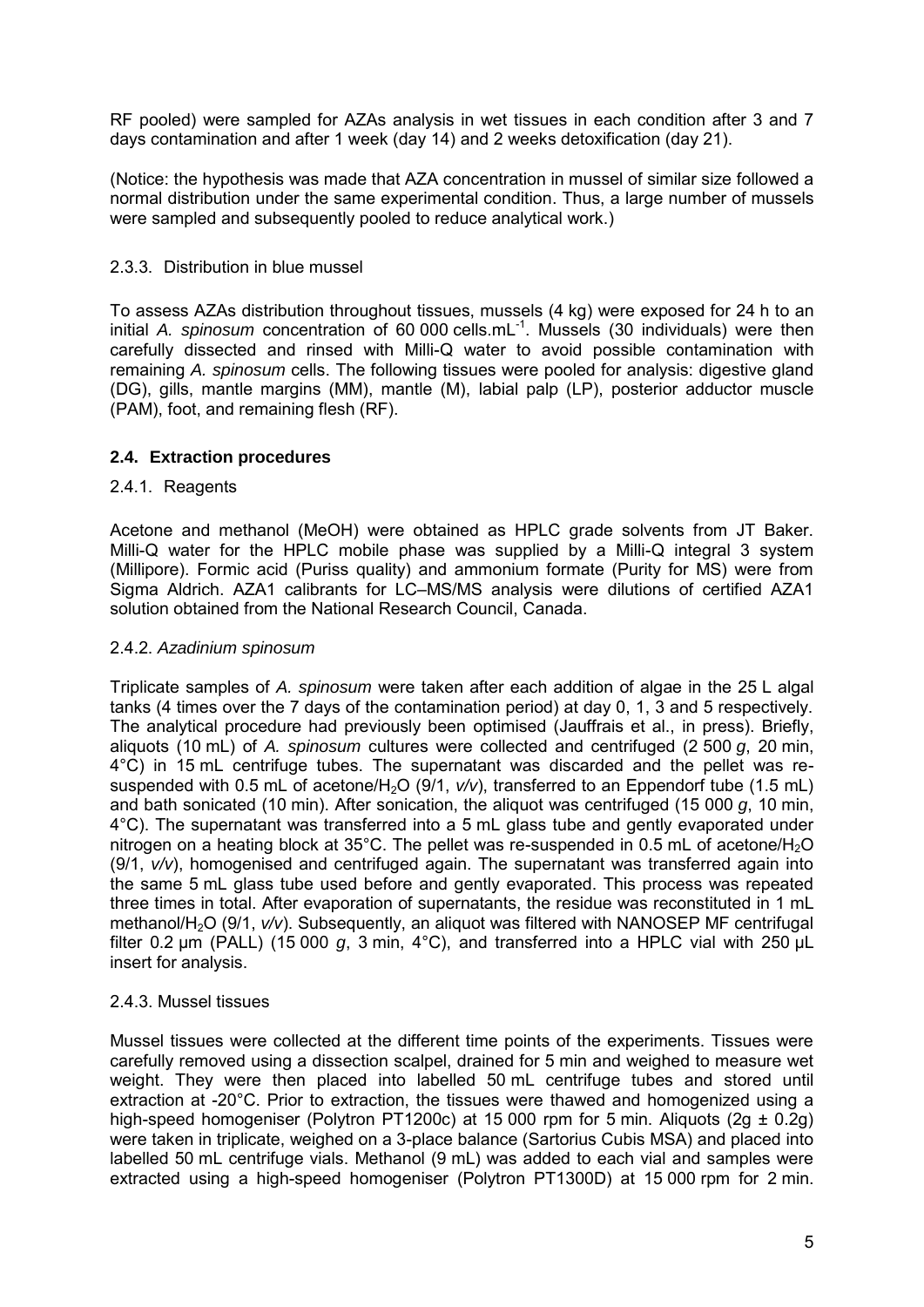RF pooled) were sampled for AZAs analysis in wet tissues in each condition after 3 and 7 days contamination and after 1 week (day 14) and 2 weeks detoxification (day 21).

(Notice: the hypothesis was made that AZA concentration in mussel of similar size followed a normal distribution under the same experimental condition. Thus, a large number of mussels were sampled and subsequently pooled to reduce analytical work.)

#### 2.3.3. Distribution in blue mussel

To assess AZAs distribution throughout tissues, mussels (4 kg) were exposed for 24 h to an initial *A. spinosum* concentration of 60 000 cells.mL<sup>-1</sup>. Mussels (30 individuals) were then carefully dissected and rinsed with Milli-Q water to avoid possible contamination with remaining *A. spinosum* cells. The following tissues were pooled for analysis: digestive gland (DG), gills, mantle margins (MM), mantle (M), labial palp (LP), posterior adductor muscle (PAM), foot, and remaining flesh (RF).

### **2.4. Extraction procedures**

#### 2.4.1. Reagents

Acetone and methanol (MeOH) were obtained as HPLC grade solvents from JT Baker. Milli-Q water for the HPLC mobile phase was supplied by a Milli-Q integral 3 system (Millipore). Formic acid (Puriss quality) and ammonium formate (Purity for MS) were from Sigma Aldrich. AZA1 calibrants for LC–MS/MS analysis were dilutions of certified AZA1 solution obtained from the National Research Council, Canada.

#### 2.4.2. *Azadinium spinosum*

Triplicate samples of *A. spinosum* were taken after each addition of algae in the 25 L algal tanks (4 times over the 7 days of the contamination period) at day 0, 1, 3 and 5 respectively. The analytical procedure had previously been optimised (Jauffrais et al., in press). Briefly, aliquots (10 mL) of *A. spinosum* cultures were collected and centrifuged (2 500 *g*, 20 min, 4°C) in 15 mL centrifuge tubes. The supernatant was discarded and the pellet was resuspended with 0.5 mL of acetone/H<sub>2</sub>O (9/1,  $v/v$ ), transferred to an Eppendorf tube (1.5 mL) and bath sonicated (10 min). After sonication, the aliquot was centrifuged (15 000 *g*, 10 min, 4°C). The supernatant was transferred into a 5 mL glass tube and gently evaporated under nitrogen on a heating block at  $35^{\circ}$ C. The pellet was re-suspended in 0.5 mL of acetone/H<sub>2</sub>O (9/1, *v/v*), homogenised and centrifuged again. The supernatant was transferred again into the same 5 mL glass tube used before and gently evaporated. This process was repeated three times in total. After evaporation of supernatants, the residue was reconstituted in 1 mL methanol/H<sub>2</sub>O (9/1,  $v/v$ ). Subsequently, an aliquot was filtered with NANOSEP MF centrifugal filter 0.2 µm (PALL) (15 000 *g*, 3 min, 4°C), and transferred into a HPLC vial with 250 µL insert for analysis.

#### 2.4.3. Mussel tissues

Mussel tissues were collected at the different time points of the experiments. Tissues were carefully removed using a dissection scalpel, drained for 5 min and weighed to measure wet weight. They were then placed into labelled 50 mL centrifuge tubes and stored until extraction at -20°C. Prior to extraction, the tissues were thawed and homogenized using a high-speed homogeniser (Polytron PT1200c) at 15 000 rpm for 5 min. Aliquots (2g  $\pm$  0.2g) were taken in triplicate, weighed on a 3-place balance (Sartorius Cubis MSA) and placed into labelled 50 mL centrifuge vials. Methanol (9 mL) was added to each vial and samples were extracted using a high-speed homogeniser (Polytron PT1300D) at 15 000 rpm for 2 min.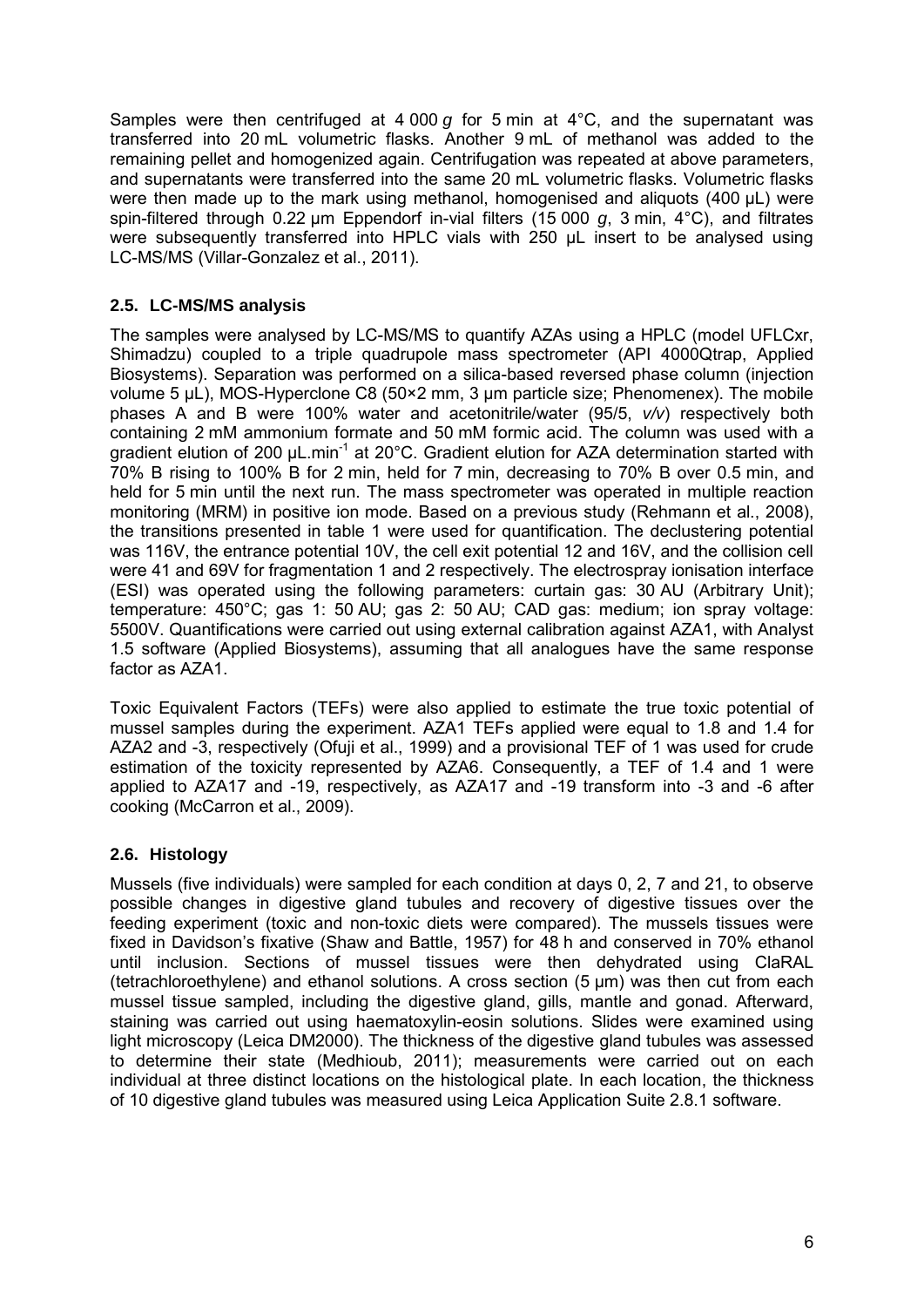Samples were then centrifuged at 4 000 *g* for 5 min at 4°C, and the supernatant was transferred into 20 mL volumetric flasks. Another 9 mL of methanol was added to the remaining pellet and homogenized again. Centrifugation was repeated at above parameters, and supernatants were transferred into the same 20 mL volumetric flasks. Volumetric flasks were then made up to the mark using methanol, homogenised and aliquots (400 µL) were spin-filtered through 0.22 µm Eppendorf in-vial filters (15 000 *g*, 3 min, 4°C), and filtrates were subsequently transferred into HPLC vials with 250 µL insert to be analysed using LC-MS/MS (Villar-Gonzalez et al., 2011).

### **2.5. LC-MS/MS analysis**

The samples were analysed by LC-MS/MS to quantify AZAs using a HPLC (model UFLCxr, Shimadzu) coupled to a triple quadrupole mass spectrometer (API 4000Qtrap, Applied Biosystems). Separation was performed on a silica-based reversed phase column (injection volume 5 µL), MOS-Hyperclone C8 (50×2 mm, 3 µm particle size; Phenomenex). The mobile phases A and B were 100% water and acetonitrile/water (95/5, *v/v*) respectively both containing 2 mM ammonium formate and 50 mM formic acid. The column was used with a gradient elution of 200 µL.min<sup>-1</sup> at 20°C. Gradient elution for AZA determination started with 70% B rising to 100% B for 2 min, held for 7 min, decreasing to 70% B over 0.5 min, and held for 5 min until the next run. The mass spectrometer was operated in multiple reaction monitoring (MRM) in positive ion mode. Based on a previous study (Rehmann et al., 2008), the transitions presented in table 1 were used for quantification. The declustering potential was 116V, the entrance potential 10V, the cell exit potential 12 and 16V, and the collision cell were 41 and 69V for fragmentation 1 and 2 respectively. The electrospray ionisation interface (ESI) was operated using the following parameters: curtain gas: 30 AU (Arbitrary Unit); temperature: 450°C; gas 1: 50 AU; gas 2: 50 AU; CAD gas: medium; ion spray voltage: 5500V. Quantifications were carried out using external calibration against AZA1, with Analyst 1.5 software (Applied Biosystems), assuming that all analogues have the same response factor as AZA1.

Toxic Equivalent Factors (TEFs) were also applied to estimate the true toxic potential of mussel samples during the experiment. AZA1 TEFs applied were equal to 1.8 and 1.4 for AZA2 and -3, respectively (Ofuji et al., 1999) and a provisional TEF of 1 was used for crude estimation of the toxicity represented by AZA6. Consequently, a TEF of 1.4 and 1 were applied to AZA17 and -19, respectively, as AZA17 and -19 transform into -3 and -6 after cooking (McCarron et al., 2009).

### **2.6. Histology**

Mussels (five individuals) were sampled for each condition at days 0, 2, 7 and 21, to observe possible changes in digestive gland tubules and recovery of digestive tissues over the feeding experiment (toxic and non-toxic diets were compared). The mussels tissues were fixed in Davidson's fixative (Shaw and Battle, 1957) for 48 h and conserved in 70% ethanol until inclusion. Sections of mussel tissues were then dehydrated using ClaRAL (tetrachloroethylene) and ethanol solutions. A cross section (5 µm) was then cut from each mussel tissue sampled, including the digestive gland, gills, mantle and gonad. Afterward, staining was carried out using haematoxylin-eosin solutions. Slides were examined using light microscopy (Leica DM2000). The thickness of the digestive gland tubules was assessed to determine their state (Medhioub, 2011); measurements were carried out on each individual at three distinct locations on the histological plate. In each location, the thickness of 10 digestive gland tubules was measured using Leica Application Suite 2.8.1 software.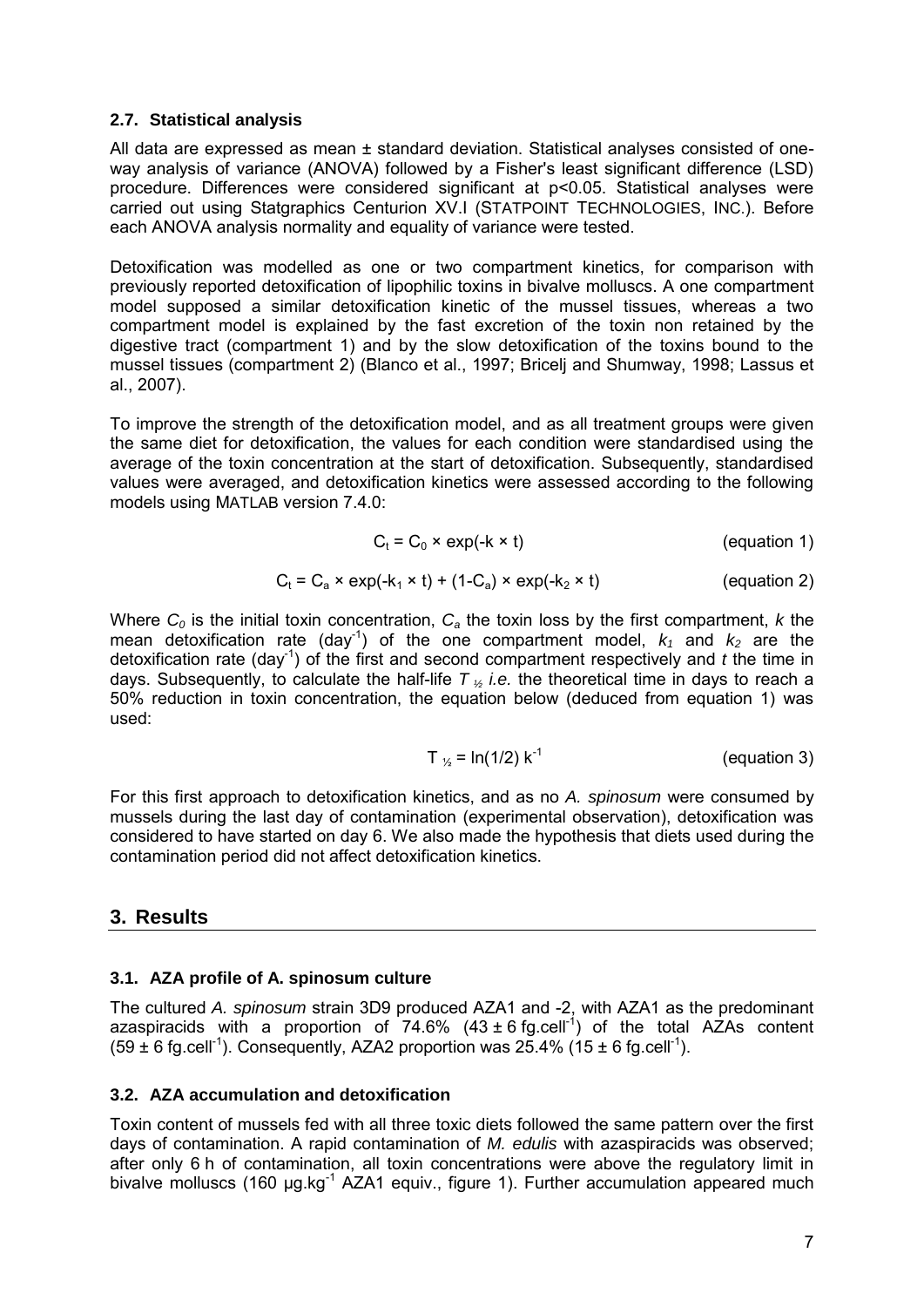#### **2.7. Statistical analysis**

All data are expressed as mean ± standard deviation. Statistical analyses consisted of oneway analysis of variance (ANOVA) followed by a Fisher's least significant difference (LSD) procedure. Differences were considered significant at p<0.05. Statistical analyses were carried out using Statgraphics Centurion XV.I (STATPOINT TECHNOLOGIES, INC.). Before each ANOVA analysis normality and equality of variance were tested.

Detoxification was modelled as one or two compartment kinetics, for comparison with previously reported detoxification of lipophilic toxins in bivalve molluscs. A one compartment model supposed a similar detoxification kinetic of the mussel tissues, whereas a two compartment model is explained by the fast excretion of the toxin non retained by the digestive tract (compartment 1) and by the slow detoxification of the toxins bound to the mussel tissues (compartment 2) (Blanco et al., 1997; Bricelj and Shumway, 1998; Lassus et al., 2007).

To improve the strength of the detoxification model, and as all treatment groups were given the same diet for detoxification, the values for each condition were standardised using the average of the toxin concentration at the start of detoxification. Subsequently, standardised values were averaged, and detoxification kinetics were assessed according to the following models using MATLAB version 7.4.0:

$$
C_t = C_0 \times \exp(-k \times t)
$$
 (equation 1)

$$
C_t = C_a \times \exp(-k_1 \times t) + (1 - C_a) \times \exp(-k_2 \times t)
$$
 (equation 2)

Where *C0* is the initial toxin concentration, *Ca* the toxin loss by the first compartment, *k* the mean detoxification rate (day<sup>-1</sup>) of the one compartment model,  $k_1$  and  $k_2$  are the detoxification rate (day<sup>-1</sup>) of the first and second compartment respectively and  $t$  the time in days. Subsequently, to calculate the half-life *T <sup>½</sup> i.e.* the theoretical time in days to reach a 50% reduction in toxin concentration, the equation below (deduced from equation 1) was used:

$$
T_{1/2} = \ln(1/2) k^{-1}
$$
 (equation 3)

For this first approach to detoxification kinetics, and as no *A. spinosum* were consumed by mussels during the last day of contamination (experimental observation), detoxification was considered to have started on day 6. We also made the hypothesis that diets used during the contamination period did not affect detoxification kinetics.

## **3. Results**

### **3.1. AZA profile of A. spinosum culture**

The cultured *A. spinosum* strain 3D9 produced AZA1 and -2, with AZA1 as the predominant azaspiracids with a proportion of  $74.6\%$  (43 ± 6 fg.cell<sup>-1</sup>) of the total AZAs content  $(59 \pm 6 \text{ fg. cell}^{-1})$ . Consequently, AZA2 proportion was 25.4% (15  $\pm 6 \text{ fg. cell}^{-1}$ ).

#### **3.2. AZA accumulation and detoxification**

Toxin content of mussels fed with all three toxic diets followed the same pattern over the first days of contamination. A rapid contamination of *M. edulis* with azaspiracids was observed; after only 6 h of contamination, all toxin concentrations were above the regulatory limit in bivalve molluscs (160 µg.kg<sup>-1</sup> AZA1 equiv., figure 1). Further accumulation appeared much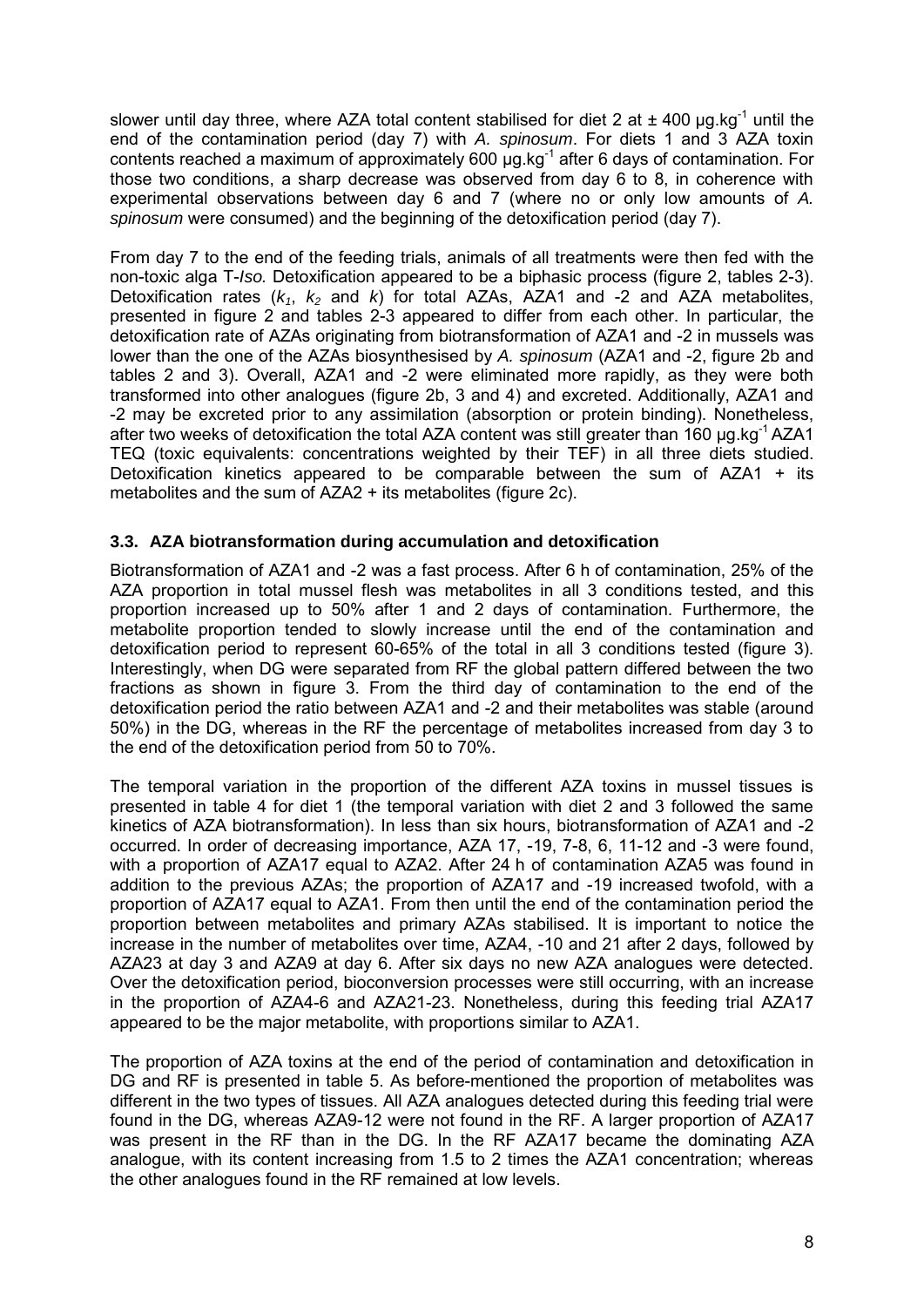slower until day three, where AZA total content stabilised for diet 2 at  $\pm$  400 µg.kg<sup>-1</sup> until the end of the contamination period (day 7) with *A. spinosum*. For diets 1 and 3 AZA toxin contents reached a maximum of approximately 600  $\mu$ g.kg<sup>-1</sup> after 6 days of contamination. For those two conditions, a sharp decrease was observed from day 6 to 8, in coherence with experimental observations between day 6 and 7 (where no or only low amounts of *A. spinosum* were consumed) and the beginning of the detoxification period (day 7).

From day 7 to the end of the feeding trials, animals of all treatments were then fed with the non-toxic alga T-*Iso.* Detoxification appeared to be a biphasic process (figure 2, tables 2-3). Detoxification rates  $(k_1, k_2, k_3)$  for total AZAs, AZA1 and -2 and AZA metabolites, presented in figure 2 and tables 2-3 appeared to differ from each other. In particular, the detoxification rate of AZAs originating from biotransformation of AZA1 and -2 in mussels was lower than the one of the AZAs biosynthesised by *A. spinosum* (AZA1 and -2, figure 2b and tables 2 and 3). Overall, AZA1 and -2 were eliminated more rapidly, as they were both transformed into other analogues (figure 2b, 3 and 4) and excreted. Additionally, AZA1 and -2 may be excreted prior to any assimilation (absorption or protein binding). Nonetheless, after two weeks of detoxification the total AZA content was still greater than 160 ug.kg<sup>-1</sup> AZA1 TEQ (toxic equivalents: concentrations weighted by their TEF) in all three diets studied. Detoxification kinetics appeared to be comparable between the sum of  $AZA1 + its$ metabolites and the sum of AZA2 + its metabolites (figure 2c).

### **3.3. AZA biotransformation during accumulation and detoxification**

Biotransformation of AZA1 and -2 was a fast process. After 6 h of contamination, 25% of the AZA proportion in total mussel flesh was metabolites in all 3 conditions tested, and this proportion increased up to 50% after 1 and 2 days of contamination. Furthermore, the metabolite proportion tended to slowly increase until the end of the contamination and detoxification period to represent 60-65% of the total in all 3 conditions tested (figure 3). Interestingly, when DG were separated from RF the global pattern differed between the two fractions as shown in figure 3. From the third day of contamination to the end of the detoxification period the ratio between AZA1 and -2 and their metabolites was stable (around 50%) in the DG, whereas in the RF the percentage of metabolites increased from day 3 to the end of the detoxification period from 50 to 70%.

The temporal variation in the proportion of the different AZA toxins in mussel tissues is presented in table 4 for diet 1 (the temporal variation with diet 2 and 3 followed the same kinetics of AZA biotransformation). In less than six hours, biotransformation of AZA1 and -2 occurred. In order of decreasing importance, AZA 17, -19, 7-8, 6, 11-12 and -3 were found, with a proportion of AZA17 equal to AZA2. After 24 h of contamination AZA5 was found in addition to the previous AZAs; the proportion of AZA17 and -19 increased twofold, with a proportion of AZA17 equal to AZA1. From then until the end of the contamination period the proportion between metabolites and primary AZAs stabilised. It is important to notice the increase in the number of metabolites over time, AZA4, -10 and 21 after 2 days, followed by AZA23 at day 3 and AZA9 at day 6. After six days no new AZA analogues were detected. Over the detoxification period, bioconversion processes were still occurring, with an increase in the proportion of AZA4-6 and AZA21-23. Nonetheless, during this feeding trial AZA17 appeared to be the major metabolite, with proportions similar to AZA1.

The proportion of AZA toxins at the end of the period of contamination and detoxification in DG and RF is presented in table 5. As before-mentioned the proportion of metabolites was different in the two types of tissues. All AZA analogues detected during this feeding trial were found in the DG, whereas AZA9-12 were not found in the RF. A larger proportion of AZA17 was present in the RF than in the DG. In the RF AZA17 became the dominating AZA analogue, with its content increasing from 1.5 to 2 times the AZA1 concentration; whereas the other analogues found in the RF remained at low levels.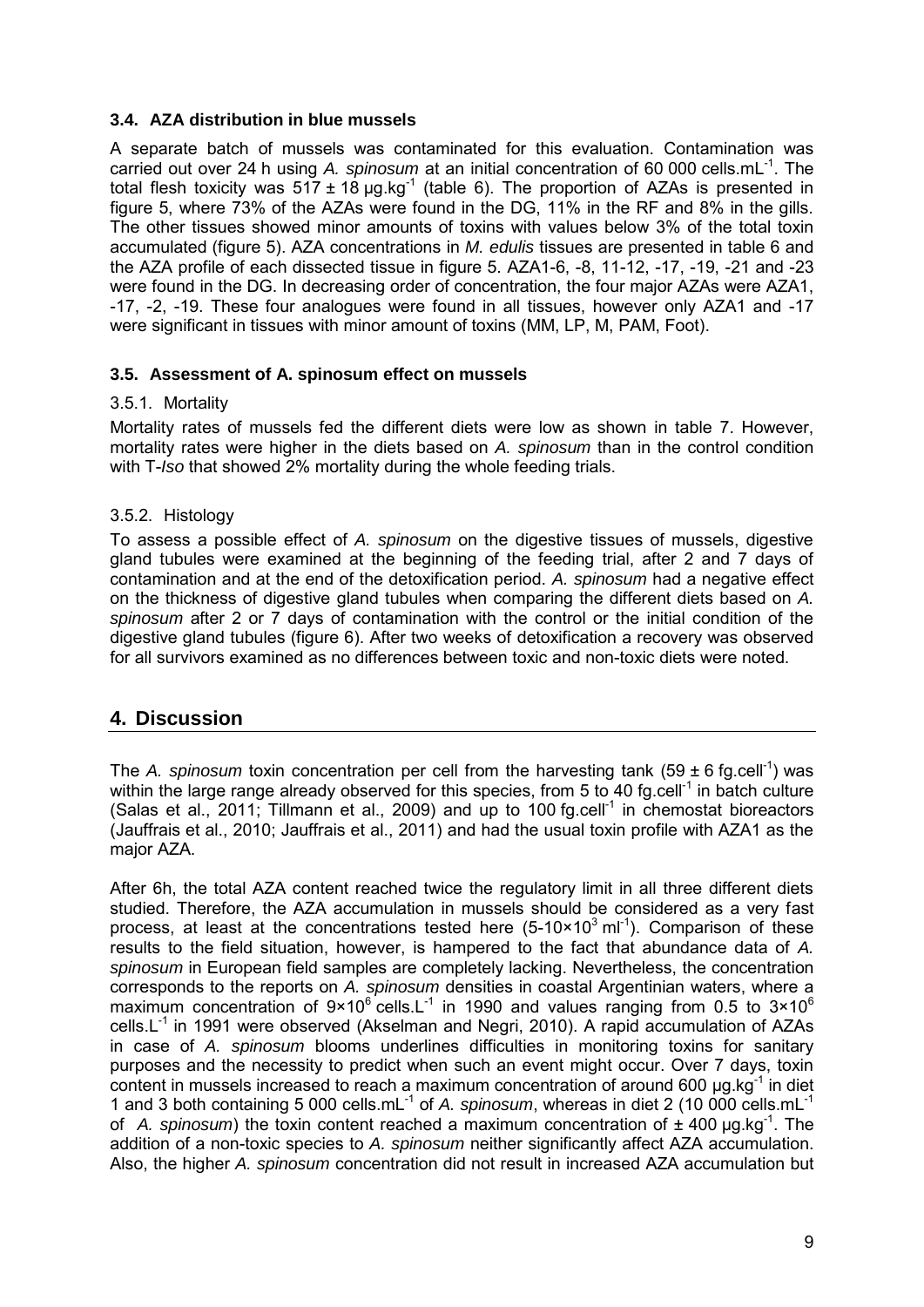### **3.4. AZA distribution in blue mussels**

A separate batch of mussels was contaminated for this evaluation. Contamination was carried out over 24 h using *A. spinosum* at an initial concentration of 60 000 cells.mL-1. The total flesh toxicity was  $517 \pm 18 \mu g kg^{-1}$  (table 6). The proportion of AZAs is presented in figure 5, where 73% of the AZAs were found in the DG, 11% in the RF and 8% in the gills. The other tissues showed minor amounts of toxins with values below 3% of the total toxin accumulated (figure 5). AZA concentrations in *M. edulis* tissues are presented in table 6 and the AZA profile of each dissected tissue in figure 5. AZA1-6, -8, 11-12, -17, -19, -21 and -23 were found in the DG. In decreasing order of concentration, the four major AZAs were AZA1, -17, -2, -19. These four analogues were found in all tissues, however only AZA1 and -17 were significant in tissues with minor amount of toxins (MM, LP, M, PAM, Foot).

### **3.5. Assessment of A. spinosum effect on mussels**

### 3.5.1. Mortality

Mortality rates of mussels fed the different diets were low as shown in table 7. However, mortality rates were higher in the diets based on *A. spinosum* than in the control condition with T-*Iso* that showed 2% mortality during the whole feeding trials.

### 3.5.2. Histology

To assess a possible effect of *A. spinosum* on the digestive tissues of mussels, digestive gland tubules were examined at the beginning of the feeding trial, after 2 and 7 days of contamination and at the end of the detoxification period. *A. spinosum* had a negative effect on the thickness of digestive gland tubules when comparing the different diets based on *A. spinosum* after 2 or 7 days of contamination with the control or the initial condition of the digestive gland tubules (figure 6). After two weeks of detoxification a recovery was observed for all survivors examined as no differences between toxic and non-toxic diets were noted.

## **4. Discussion**

The *A. spinosum* toxin concentration per cell from the harvesting tank (59  $\pm$  6 fg.cell<sup>-1</sup>) was within the large range already observed for this species, from 5 to 40 fg.cell<sup>-1</sup> in batch culture (Salas et al., 2011; Tillmann et al., 2009) and up to 100 fg.cell<sup>-1</sup> in chemostat bioreactors (Jauffrais et al., 2010; Jauffrais et al., 2011) and had the usual toxin profile with AZA1 as the major AZA.

After 6h, the total AZA content reached twice the regulatory limit in all three different diets studied. Therefore, the AZA accumulation in mussels should be considered as a very fast process, at least at the concentrations tested here  $(5-10\times10^{3} \text{ ml}^{-1})$ . Comparison of these results to the field situation, however, is hampered to the fact that abundance data of *A. spinosum* in European field samples are completely lacking. Nevertheless, the concentration corresponds to the reports on *A. spinosum* densities in coastal Argentinian waters, where a maximum concentration of  $9 \times 10^6$  cells. L<sup>-1</sup> in 1990 and values ranging from 0.5 to  $3 \times 10^6$ cells. $L^{-1}$  in 1991 were observed (Akselman and Negri, 2010). A rapid accumulation of AZAs in case of *A. spinosum* blooms underlines difficulties in monitoring toxins for sanitary purposes and the necessity to predict when such an event might occur. Over 7 days, toxin content in mussels increased to reach a maximum concentration of around 600  $\mu$ g.kg<sup>-1</sup> in diet 1 and 3 both containing 5 000 cells.mL-1 of *A. spinosum*, whereas in diet 2 (10 000 cells.mL-1 of A. spinosum) the toxin content reached a maximum concentration of ± 400 µg.kg<sup>-1</sup>. The addition of a non-toxic species to *A. spinosum* neither significantly affect AZA accumulation. Also, the higher *A. spinosum* concentration did not result in increased AZA accumulation but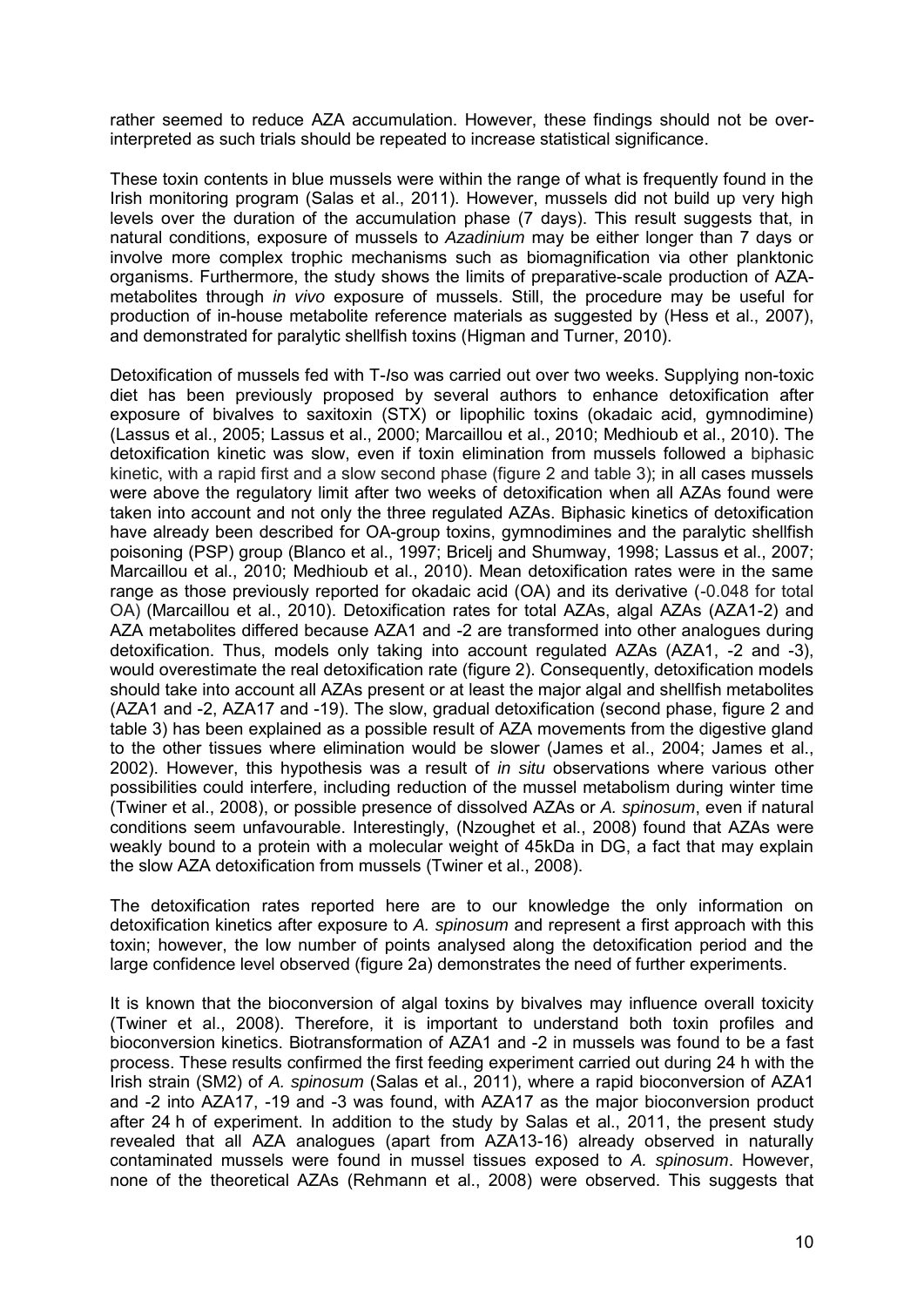rather seemed to reduce AZA accumulation. However, these findings should not be overinterpreted as such trials should be repeated to increase statistical significance.

These toxin contents in blue mussels were within the range of what is frequently found in the Irish monitoring program (Salas et al., 2011). However, mussels did not build up very high levels over the duration of the accumulation phase (7 days). This result suggests that, in natural conditions, exposure of mussels to *Azadinium* may be either longer than 7 days or involve more complex trophic mechanisms such as biomagnification via other planktonic organisms. Furthermore, the study shows the limits of preparative-scale production of AZAmetabolites through *in vivo* exposure of mussels. Still, the procedure may be useful for production of in-house metabolite reference materials as suggested by (Hess et al., 2007), and demonstrated for paralytic shellfish toxins (Higman and Turner, 2010).

Detoxification of mussels fed with T-*I*so was carried out over two weeks. Supplying non-toxic diet has been previously proposed by several authors to enhance detoxification after exposure of bivalves to saxitoxin (STX) or lipophilic toxins (okadaic acid, gymnodimine) (Lassus et al., 2005; Lassus et al., 2000; Marcaillou et al., 2010; Medhioub et al., 2010). The detoxification kinetic was slow, even if toxin elimination from mussels followed a biphasic kinetic, with a rapid first and a slow second phase (figure 2 and table 3); in all cases mussels were above the regulatory limit after two weeks of detoxification when all AZAs found were taken into account and not only the three regulated AZAs. Biphasic kinetics of detoxification have already been described for OA-group toxins, gymnodimines and the paralytic shellfish poisoning (PSP) group (Blanco et al., 1997; Bricelj and Shumway, 1998; Lassus et al., 2007; Marcaillou et al., 2010; Medhioub et al., 2010). Mean detoxification rates were in the same range as those previously reported for okadaic acid (OA) and its derivative (-0.048 for total OA) (Marcaillou et al., 2010). Detoxification rates for total AZAs, algal AZAs (AZA1-2) and AZA metabolites differed because AZA1 and -2 are transformed into other analogues during detoxification. Thus, models only taking into account regulated AZAs (AZA1, -2 and -3), would overestimate the real detoxification rate (figure 2). Consequently, detoxification models should take into account all AZAs present or at least the major algal and shellfish metabolites (AZA1 and -2, AZA17 and -19). The slow, gradual detoxification (second phase, figure 2 and table 3) has been explained as a possible result of AZA movements from the digestive gland to the other tissues where elimination would be slower (James et al., 2004; James et al., 2002). However, this hypothesis was a result of *in situ* observations where various other possibilities could interfere, including reduction of the mussel metabolism during winter time (Twiner et al., 2008), or possible presence of dissolved AZAs or *A. spinosum*, even if natural conditions seem unfavourable. Interestingly, (Nzoughet et al., 2008) found that AZAs were weakly bound to a protein with a molecular weight of 45kDa in DG, a fact that may explain the slow AZA detoxification from mussels (Twiner et al., 2008).

The detoxification rates reported here are to our knowledge the only information on detoxification kinetics after exposure to *A. spinosum* and represent a first approach with this toxin; however, the low number of points analysed along the detoxification period and the large confidence level observed (figure 2a) demonstrates the need of further experiments.

It is known that the bioconversion of algal toxins by bivalves may influence overall toxicity (Twiner et al., 2008). Therefore, it is important to understand both toxin profiles and bioconversion kinetics. Biotransformation of AZA1 and -2 in mussels was found to be a fast process. These results confirmed the first feeding experiment carried out during 24 h with the Irish strain (SM2) of *A. spinosum* (Salas et al., 2011), where a rapid bioconversion of AZA1 and -2 into AZA17, -19 and -3 was found, with AZA17 as the major bioconversion product after 24 h of experiment. In addition to the study by Salas et al., 2011, the present study revealed that all AZA analogues (apart from AZA13-16) already observed in naturally contaminated mussels were found in mussel tissues exposed to *A. spinosum*. However, none of the theoretical AZAs (Rehmann et al., 2008) were observed. This suggests that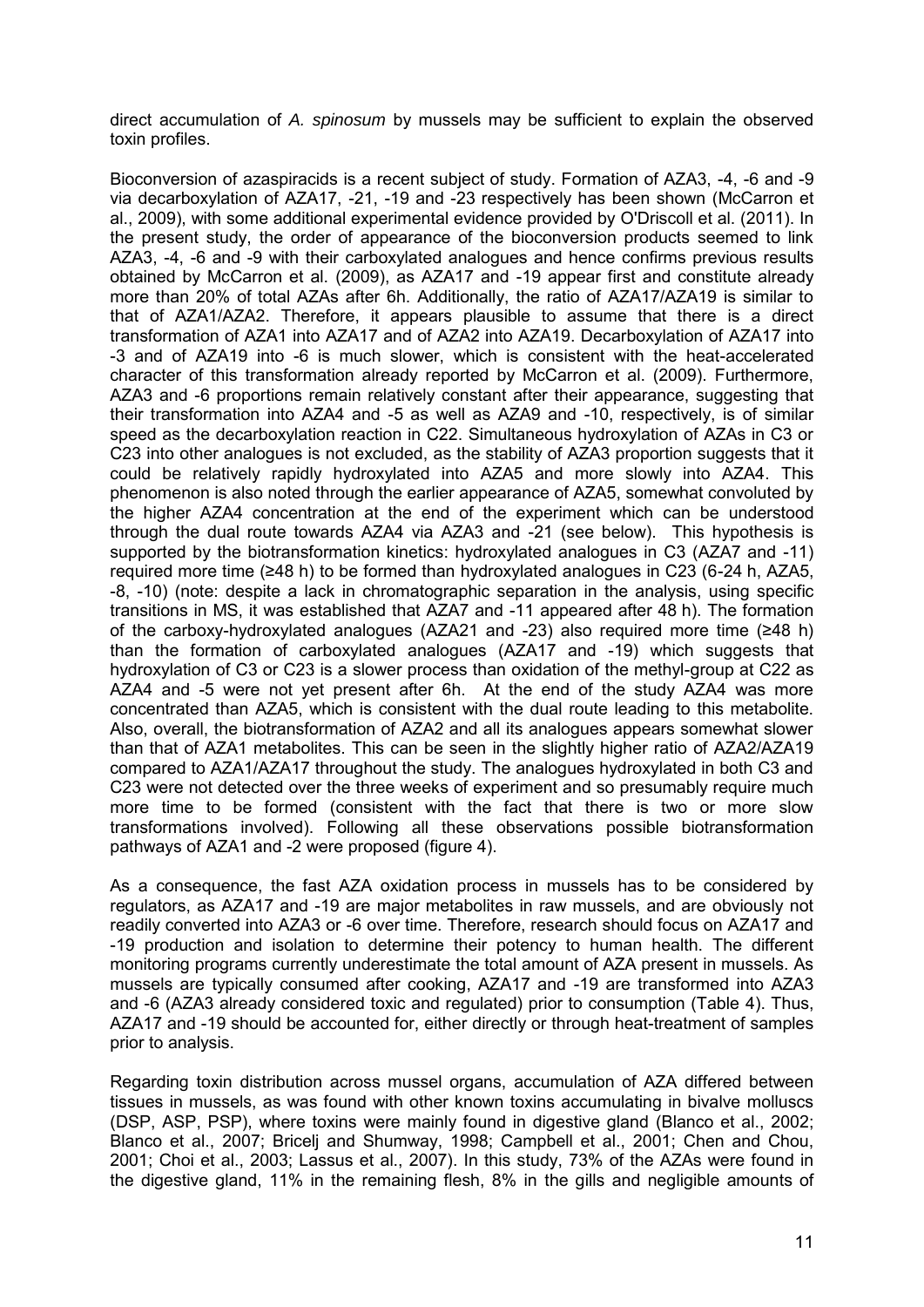direct accumulation of *A. spinosum* by mussels may be sufficient to explain the observed toxin profiles.

Bioconversion of azaspiracids is a recent subject of study. Formation of AZA3, -4, -6 and -9 via decarboxylation of AZA17, -21, -19 and -23 respectively has been shown (McCarron et al., 2009), with some additional experimental evidence provided by O'Driscoll et al. (2011). In the present study, the order of appearance of the bioconversion products seemed to link AZA3, -4, -6 and -9 with their carboxylated analogues and hence confirms previous results obtained by McCarron et al. (2009), as AZA17 and -19 appear first and constitute already more than 20% of total AZAs after 6h. Additionally, the ratio of AZA17/AZA19 is similar to that of AZA1/AZA2. Therefore, it appears plausible to assume that there is a direct transformation of AZA1 into AZA17 and of AZA2 into AZA19. Decarboxylation of AZA17 into -3 and of AZA19 into -6 is much slower, which is consistent with the heat-accelerated character of this transformation already reported by McCarron et al. (2009). Furthermore, AZA3 and -6 proportions remain relatively constant after their appearance, suggesting that their transformation into AZA4 and -5 as well as AZA9 and -10, respectively, is of similar speed as the decarboxylation reaction in C22. Simultaneous hydroxylation of AZAs in C3 or C23 into other analogues is not excluded, as the stability of AZA3 proportion suggests that it could be relatively rapidly hydroxylated into AZA5 and more slowly into AZA4. This phenomenon is also noted through the earlier appearance of AZA5, somewhat convoluted by the higher AZA4 concentration at the end of the experiment which can be understood through the dual route towards AZA4 via AZA3 and -21 (see below). This hypothesis is supported by the biotransformation kinetics: hydroxylated analogues in C3 (AZA7 and -11) required more time (≥48 h) to be formed than hydroxylated analogues in C23 (6-24 h, AZA5, -8, -10) (note: despite a lack in chromatographic separation in the analysis, using specific transitions in MS, it was established that AZA7 and -11 appeared after 48 h). The formation of the carboxy-hydroxylated analogues (AZA21 and -23) also required more time (≥48 h) than the formation of carboxylated analogues (AZA17 and -19) which suggests that hydroxylation of C3 or C23 is a slower process than oxidation of the methyl-group at C22 as AZA4 and -5 were not yet present after 6h. At the end of the study AZA4 was more concentrated than AZA5, which is consistent with the dual route leading to this metabolite. Also, overall, the biotransformation of AZA2 and all its analogues appears somewhat slower than that of AZA1 metabolites. This can be seen in the slightly higher ratio of AZA2/AZA19 compared to AZA1/AZA17 throughout the study. The analogues hydroxylated in both C3 and C23 were not detected over the three weeks of experiment and so presumably require much more time to be formed (consistent with the fact that there is two or more slow transformations involved). Following all these observations possible biotransformation pathways of AZA1 and -2 were proposed (figure 4).

As a consequence, the fast AZA oxidation process in mussels has to be considered by regulators, as AZA17 and -19 are major metabolites in raw mussels, and are obviously not readily converted into AZA3 or -6 over time. Therefore, research should focus on AZA17 and -19 production and isolation to determine their potency to human health. The different monitoring programs currently underestimate the total amount of AZA present in mussels. As mussels are typically consumed after cooking, AZA17 and -19 are transformed into AZA3 and -6 (AZA3 already considered toxic and regulated) prior to consumption (Table 4). Thus, AZA17 and -19 should be accounted for, either directly or through heat-treatment of samples prior to analysis.

Regarding toxin distribution across mussel organs, accumulation of AZA differed between tissues in mussels, as was found with other known toxins accumulating in bivalve molluscs (DSP, ASP, PSP), where toxins were mainly found in digestive gland (Blanco et al., 2002; Blanco et al., 2007; Bricelj and Shumway, 1998; Campbell et al., 2001; Chen and Chou, 2001; Choi et al., 2003; Lassus et al., 2007). In this study, 73% of the AZAs were found in the digestive gland, 11% in the remaining flesh, 8% in the gills and negligible amounts of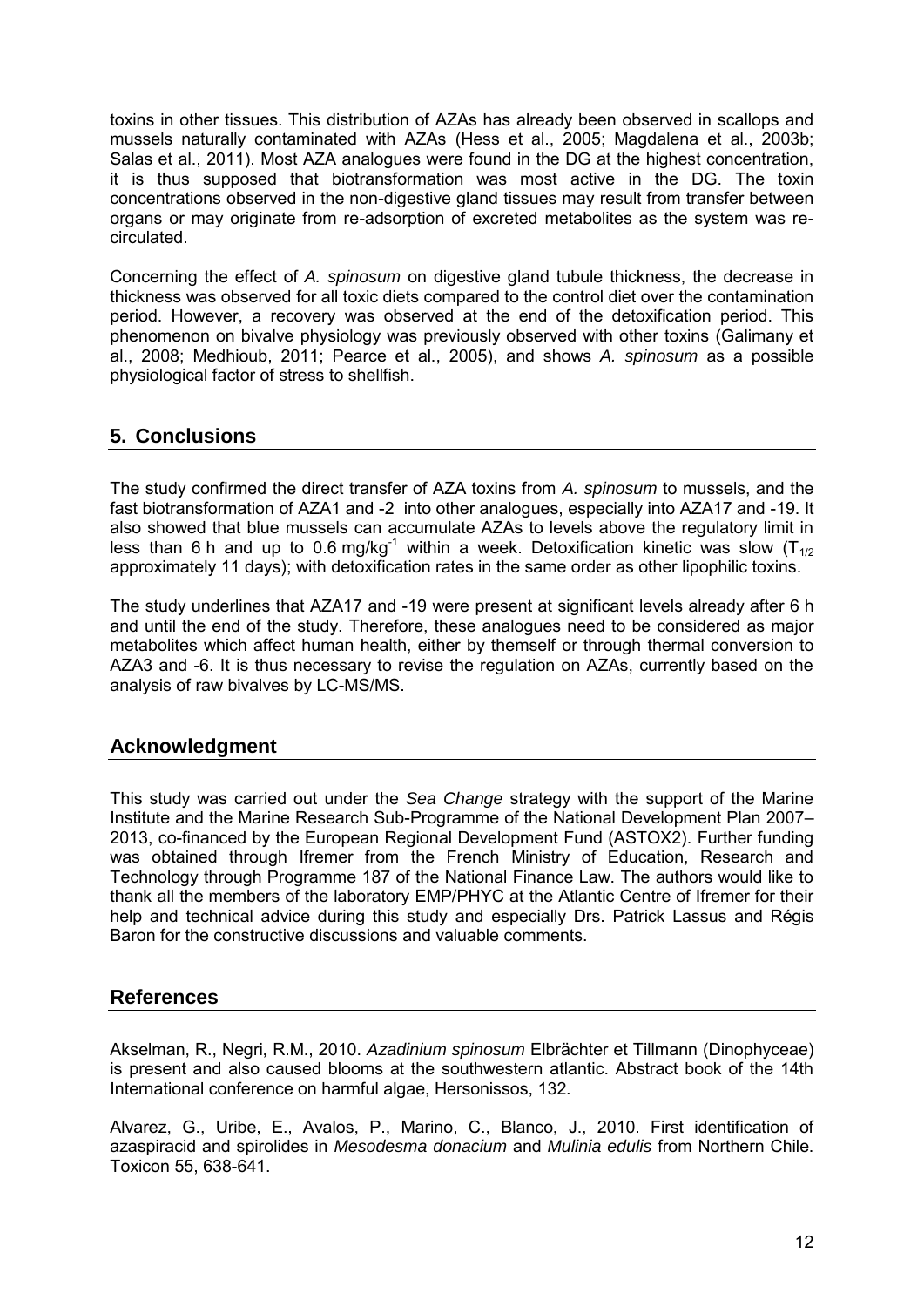toxins in other tissues. This distribution of AZAs has already been observed in scallops and mussels naturally contaminated with AZAs (Hess et al., 2005; Magdalena et al., 2003b; Salas et al., 2011). Most AZA analogues were found in the DG at the highest concentration, it is thus supposed that biotransformation was most active in the DG. The toxin concentrations observed in the non-digestive gland tissues may result from transfer between organs or may originate from re-adsorption of excreted metabolites as the system was recirculated.

Concerning the effect of *A. spinosum* on digestive gland tubule thickness, the decrease in thickness was observed for all toxic diets compared to the control diet over the contamination period. However, a recovery was observed at the end of the detoxification period. This phenomenon on bivalve physiology was previously observed with other toxins (Galimany et al., 2008; Medhioub, 2011; Pearce et al., 2005), and shows *A. spinosum* as a possible physiological factor of stress to shellfish.

# **5. Conclusions**

The study confirmed the direct transfer of AZA toxins from *A. spinosum* to mussels, and the fast biotransformation of AZA1 and -2 into other analogues, especially into AZA17 and -19. It also showed that blue mussels can accumulate AZAs to levels above the regulatory limit in less than 6 h and up to 0.6 mg/kg<sup>-1</sup> within a week. Detoxification kinetic was slow ( $T_{1/2}$ ) approximately 11 days); with detoxification rates in the same order as other lipophilic toxins.

The study underlines that AZA17 and -19 were present at significant levels already after 6 h and until the end of the study. Therefore, these analogues need to be considered as major metabolites which affect human health, either by themself or through thermal conversion to AZA3 and -6. It is thus necessary to revise the regulation on AZAs, currently based on the analysis of raw bivalves by LC-MS/MS.

## **Acknowledgment**

This study was carried out under the *Sea Change* strategy with the support of the Marine Institute and the Marine Research Sub-Programme of the National Development Plan 2007– 2013, co-financed by the European Regional Development Fund (ASTOX2). Further funding was obtained through Ifremer from the French Ministry of Education, Research and Technology through Programme 187 of the National Finance Law. The authors would like to thank all the members of the laboratory EMP/PHYC at the Atlantic Centre of Ifremer for their help and technical advice during this study and especially Drs. Patrick Lassus and Régis Baron for the constructive discussions and valuable comments.

## **References**

Akselman, R., Negri, R.M., 2010. *Azadinium spinosum* Elbrächter et Tillmann (Dinophyceae) is present and also caused blooms at the southwestern atlantic. Abstract book of the 14th International conference on harmful algae, Hersonissos, 132.

Alvarez, G., Uribe, E., Avalos, P., Marino, C., Blanco, J., 2010. First identification of azaspiracid and spirolides in *Mesodesma donacium* and *Mulinia edulis* from Northern Chile. Toxicon 55, 638-641.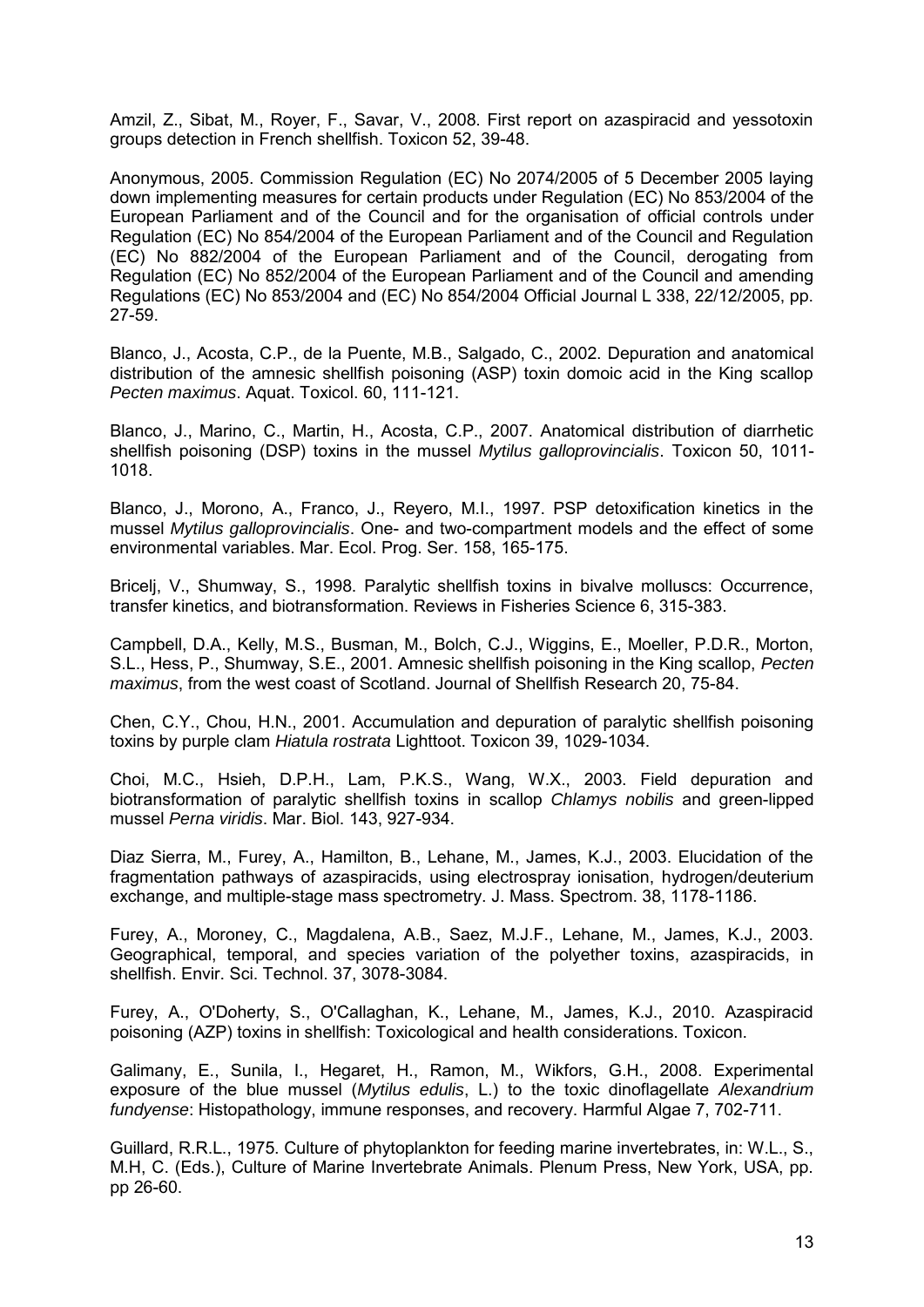Amzil, Z., Sibat, M., Royer, F., Savar, V., 2008. First report on azaspiracid and yessotoxin groups detection in French shellfish. Toxicon 52, 39-48.

Anonymous, 2005. Commission Regulation (EC) No 2074/2005 of 5 December 2005 laying down implementing measures for certain products under Regulation (EC) No 853/2004 of the European Parliament and of the Council and for the organisation of official controls under Regulation (EC) No 854/2004 of the European Parliament and of the Council and Regulation (EC) No 882/2004 of the European Parliament and of the Council, derogating from Regulation (EC) No 852/2004 of the European Parliament and of the Council and amending Regulations (EC) No 853/2004 and (EC) No 854/2004 Official Journal L 338, 22/12/2005, pp. 27-59.

Blanco, J., Acosta, C.P., de la Puente, M.B., Salgado, C., 2002. Depuration and anatomical distribution of the amnesic shellfish poisoning (ASP) toxin domoic acid in the King scallop *Pecten maximus*. Aquat. Toxicol. 60, 111-121.

Blanco, J., Marino, C., Martin, H., Acosta, C.P., 2007. Anatomical distribution of diarrhetic shellfish poisoning (DSP) toxins in the mussel *Mytilus galloprovincialis*. Toxicon 50, 1011- 1018.

Blanco, J., Morono, A., Franco, J., Reyero, M.I., 1997. PSP detoxification kinetics in the mussel *Mytilus galloprovincialis*. One- and two-compartment models and the effect of some environmental variables. Mar. Ecol. Prog. Ser. 158, 165-175.

Bricelj, V., Shumway, S., 1998. Paralytic shellfish toxins in bivalve molluscs: Occurrence, transfer kinetics, and biotransformation. Reviews in Fisheries Science 6, 315-383.

Campbell, D.A., Kelly, M.S., Busman, M., Bolch, C.J., Wiggins, E., Moeller, P.D.R., Morton, S.L., Hess, P., Shumway, S.E., 2001. Amnesic shellfish poisoning in the King scallop, *Pecten maximus*, from the west coast of Scotland. Journal of Shellfish Research 20, 75-84.

Chen, C.Y., Chou, H.N., 2001. Accumulation and depuration of paralytic shellfish poisoning toxins by purple clam *Hiatula rostrata* Lighttoot. Toxicon 39, 1029-1034.

Choi, M.C., Hsieh, D.P.H., Lam, P.K.S., Wang, W.X., 2003. Field depuration and biotransformation of paralytic shellfish toxins in scallop *Chlamys nobilis* and green-lipped mussel *Perna viridis*. Mar. Biol. 143, 927-934.

Diaz Sierra, M., Furey, A., Hamilton, B., Lehane, M., James, K.J., 2003. Elucidation of the fragmentation pathways of azaspiracids, using electrospray ionisation, hydrogen/deuterium exchange, and multiple-stage mass spectrometry. J. Mass. Spectrom. 38, 1178-1186.

Furey, A., Moroney, C., Magdalena, A.B., Saez, M.J.F., Lehane, M., James, K.J., 2003. Geographical, temporal, and species variation of the polyether toxins, azaspiracids, in shellfish. Envir. Sci. Technol. 37, 3078-3084.

Furey, A., O'Doherty, S., O'Callaghan, K., Lehane, M., James, K.J., 2010. Azaspiracid poisoning (AZP) toxins in shellfish: Toxicological and health considerations. Toxicon.

Galimany, E., Sunila, I., Hegaret, H., Ramon, M., Wikfors, G.H., 2008. Experimental exposure of the blue mussel (*Mytilus edulis*, L.) to the toxic dinoflagellate *Alexandrium fundyense*: Histopathology, immune responses, and recovery. Harmful Algae 7, 702-711.

Guillard, R.R.L., 1975. Culture of phytoplankton for feeding marine invertebrates, in: W.L., S., M.H, C. (Eds.), Culture of Marine Invertebrate Animals. Plenum Press, New York, USA, pp. pp 26-60.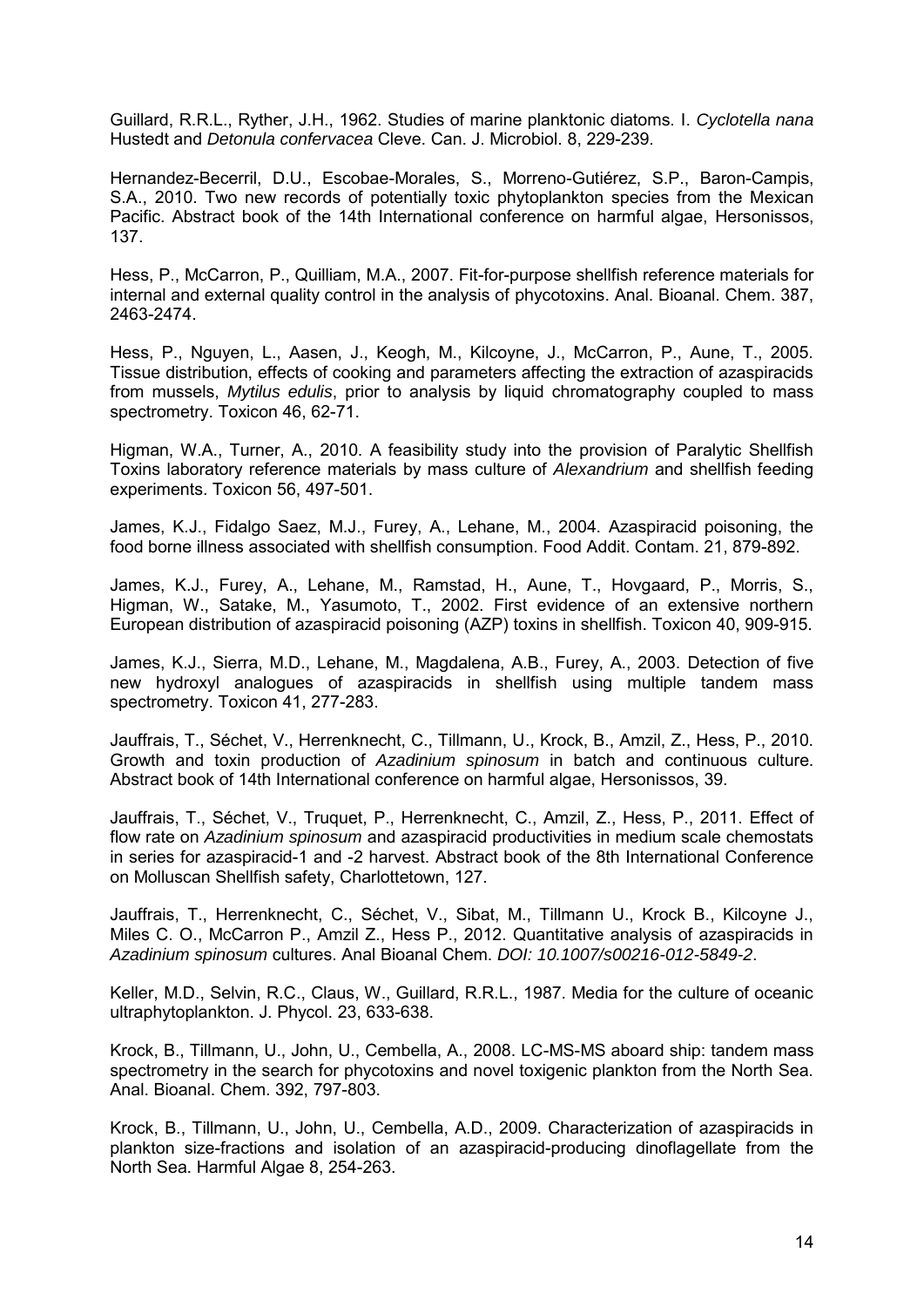Guillard, R.R.L., Ryther, J.H., 1962. Studies of marine planktonic diatoms. I. *Cyclotella nana* Hustedt and *Detonula confervacea* Cleve. Can. J. Microbiol. 8, 229-239.

Hernandez-Becerril, D.U., Escobae-Morales, S., Morreno-Gutiérez, S.P., Baron-Campis, S.A., 2010. Two new records of potentially toxic phytoplankton species from the Mexican Pacific. Abstract book of the 14th International conference on harmful algae, Hersonissos, 137.

Hess, P., McCarron, P., Quilliam, M.A., 2007. Fit-for-purpose shellfish reference materials for internal and external quality control in the analysis of phycotoxins. Anal. Bioanal. Chem. 387, 2463-2474.

Hess, P., Nguyen, L., Aasen, J., Keogh, M., Kilcoyne, J., McCarron, P., Aune, T., 2005. Tissue distribution, effects of cooking and parameters affecting the extraction of azaspiracids from mussels, *Mytilus edulis*, prior to analysis by liquid chromatography coupled to mass spectrometry. Toxicon 46, 62-71.

Higman, W.A., Turner, A., 2010. A feasibility study into the provision of Paralytic Shellfish Toxins laboratory reference materials by mass culture of *Alexandrium* and shellfish feeding experiments. Toxicon 56, 497-501.

James, K.J., Fidalgo Saez, M.J., Furey, A., Lehane, M., 2004. Azaspiracid poisoning, the food borne illness associated with shellfish consumption. Food Addit. Contam. 21, 879-892.

James, K.J., Furey, A., Lehane, M., Ramstad, H., Aune, T., Hovgaard, P., Morris, S., Higman, W., Satake, M., Yasumoto, T., 2002. First evidence of an extensive northern European distribution of azaspiracid poisoning (AZP) toxins in shellfish. Toxicon 40, 909-915.

James, K.J., Sierra, M.D., Lehane, M., Magdalena, A.B., Furey, A., 2003. Detection of five new hydroxyl analogues of azaspiracids in shellfish using multiple tandem mass spectrometry. Toxicon 41, 277-283.

Jauffrais, T., Séchet, V., Herrenknecht, C., Tillmann, U., Krock, B., Amzil, Z., Hess, P., 2010. Growth and toxin production of *Azadinium spinosum* in batch and continuous culture. Abstract book of 14th International conference on harmful algae, Hersonissos, 39.

Jauffrais, T., Séchet, V., Truquet, P., Herrenknecht, C., Amzil, Z., Hess, P., 2011. Effect of flow rate on *Azadinium spinosum* and azaspiracid productivities in medium scale chemostats in series for azaspiracid-1 and -2 harvest. Abstract book of the 8th International Conference on Molluscan Shellfish safety, Charlottetown, 127.

Jauffrais, T., Herrenknecht, C., Séchet, V., Sibat, M., Tillmann U., Krock B., Kilcoyne J., Miles C. O., McCarron P., Amzil Z., Hess P., 2012. Quantitative analysis of azaspiracids in *Azadinium spinosum* cultures. Anal Bioanal Chem. *DOI: 10.1007/s00216-012-5849-2*.

Keller, M.D., Selvin, R.C., Claus, W., Guillard, R.R.L., 1987. Media for the culture of oceanic ultraphytoplankton. J. Phycol. 23, 633-638.

Krock, B., Tillmann, U., John, U., Cembella, A., 2008. LC-MS-MS aboard ship: tandem mass spectrometry in the search for phycotoxins and novel toxigenic plankton from the North Sea. Anal. Bioanal. Chem. 392, 797-803.

Krock, B., Tillmann, U., John, U., Cembella, A.D., 2009. Characterization of azaspiracids in plankton size-fractions and isolation of an azaspiracid-producing dinoflagellate from the North Sea. Harmful Algae 8, 254-263.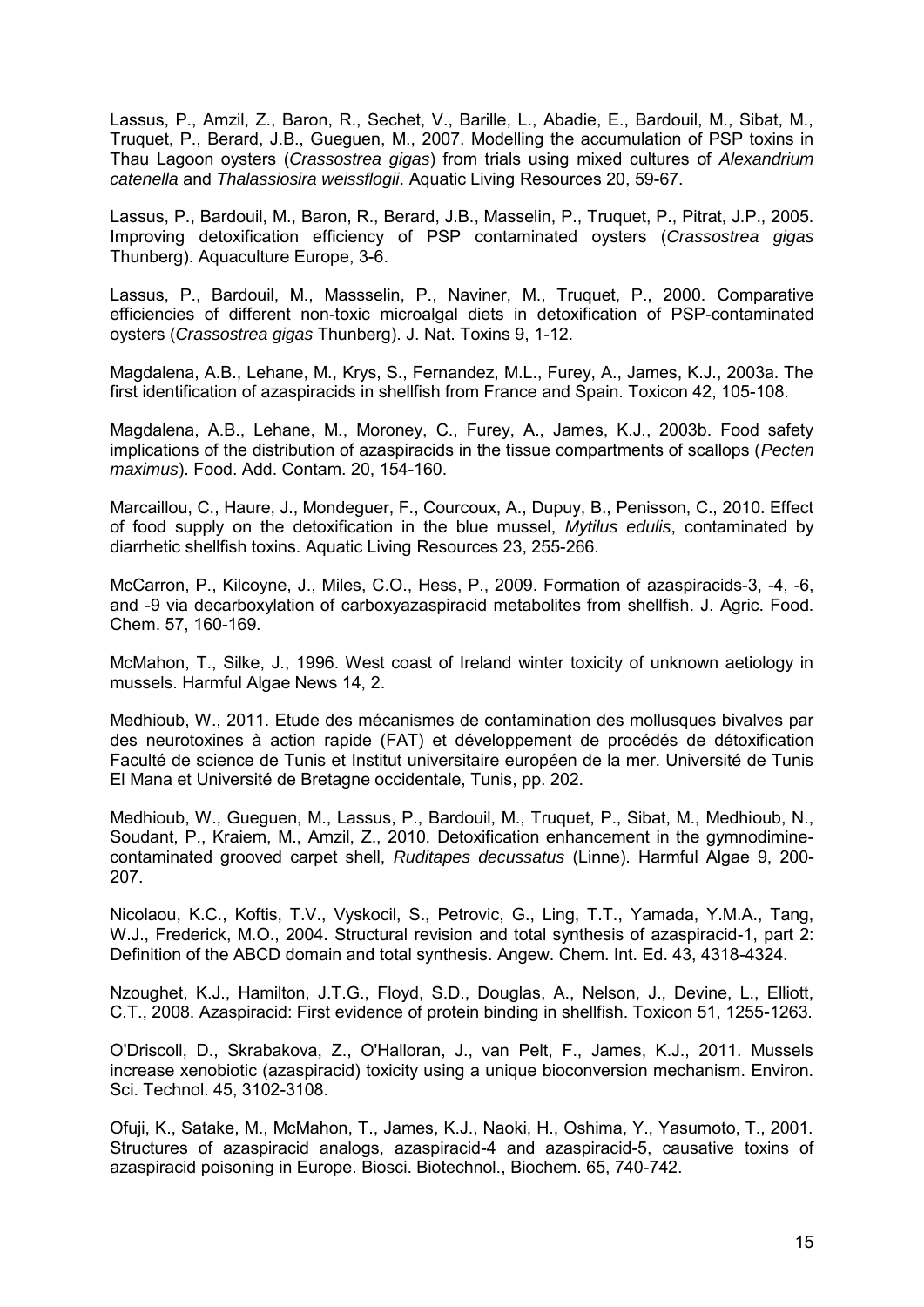Lassus, P., Amzil, Z., Baron, R., Sechet, V., Barille, L., Abadie, E., Bardouil, M., Sibat, M., Truquet, P., Berard, J.B., Gueguen, M., 2007. Modelling the accumulation of PSP toxins in Thau Lagoon oysters (*Crassostrea gigas*) from trials using mixed cultures of *Alexandrium catenella* and *Thalassiosira weissflogii*. Aquatic Living Resources 20, 59-67.

Lassus, P., Bardouil, M., Baron, R., Berard, J.B., Masselin, P., Truquet, P., Pitrat, J.P., 2005. Improving detoxification efficiency of PSP contaminated oysters (*Crassostrea gigas* Thunberg). Aquaculture Europe, 3-6.

Lassus, P., Bardouil, M., Massselin, P., Naviner, M., Truquet, P., 2000. Comparative efficiencies of different non-toxic microalgal diets in detoxification of PSP-contaminated oysters (*Crassostrea gigas* Thunberg). J. Nat. Toxins 9, 1-12.

Magdalena, A.B., Lehane, M., Krys, S., Fernandez, M.L., Furey, A., James, K.J., 2003a. The first identification of azaspiracids in shellfish from France and Spain. Toxicon 42, 105-108.

Magdalena, A.B., Lehane, M., Moroney, C., Furey, A., James, K.J., 2003b. Food safety implications of the distribution of azaspiracids in the tissue compartments of scallops (*Pecten maximus*). Food. Add. Contam. 20, 154-160.

Marcaillou, C., Haure, J., Mondeguer, F., Courcoux, A., Dupuy, B., Penisson, C., 2010. Effect of food supply on the detoxification in the blue mussel, *Mytilus edulis*, contaminated by diarrhetic shellfish toxins. Aquatic Living Resources 23, 255-266.

McCarron, P., Kilcoyne, J., Miles, C.O., Hess, P., 2009. Formation of azaspiracids-3, -4, -6, and -9 via decarboxylation of carboxyazaspiracid metabolites from shellfish. J. Agric. Food. Chem. 57, 160-169.

McMahon, T., Silke, J., 1996. West coast of Ireland winter toxicity of unknown aetiology in mussels. Harmful Algae News 14, 2.

Medhioub, W., 2011. Etude des mécanismes de contamination des mollusques bivalves par des neurotoxines à action rapide (FAT) et développement de procédés de détoxification Faculté de science de Tunis et Institut universitaire européen de la mer. Université de Tunis El Mana et Université de Bretagne occidentale, Tunis, pp. 202.

Medhioub, W., Gueguen, M., Lassus, P., Bardouil, M., Truquet, P., Sibat, M., Medhioub, N., Soudant, P., Kraiem, M., Amzil, Z., 2010. Detoxification enhancement in the gymnodiminecontaminated grooved carpet shell, *Ruditapes decussatus* (Linne). Harmful Algae 9, 200- 207.

Nicolaou, K.C., Koftis, T.V., Vyskocil, S., Petrovic, G., Ling, T.T., Yamada, Y.M.A., Tang, W.J., Frederick, M.O., 2004. Structural revision and total synthesis of azaspiracid-1, part 2: Definition of the ABCD domain and total synthesis. Angew. Chem. Int. Ed. 43, 4318-4324.

Nzoughet, K.J., Hamilton, J.T.G., Floyd, S.D., Douglas, A., Nelson, J., Devine, L., Elliott, C.T., 2008. Azaspiracid: First evidence of protein binding in shellfish. Toxicon 51, 1255-1263.

O'Driscoll, D., Skrabakova, Z., O'Halloran, J., van Pelt, F., James, K.J., 2011. Mussels increase xenobiotic (azaspiracid) toxicity using a unique bioconversion mechanism. Environ. Sci. Technol. 45, 3102-3108.

Ofuji, K., Satake, M., McMahon, T., James, K.J., Naoki, H., Oshima, Y., Yasumoto, T., 2001. Structures of azaspiracid analogs, azaspiracid-4 and azaspiracid-5, causative toxins of azaspiracid poisoning in Europe. Biosci. Biotechnol., Biochem. 65, 740-742.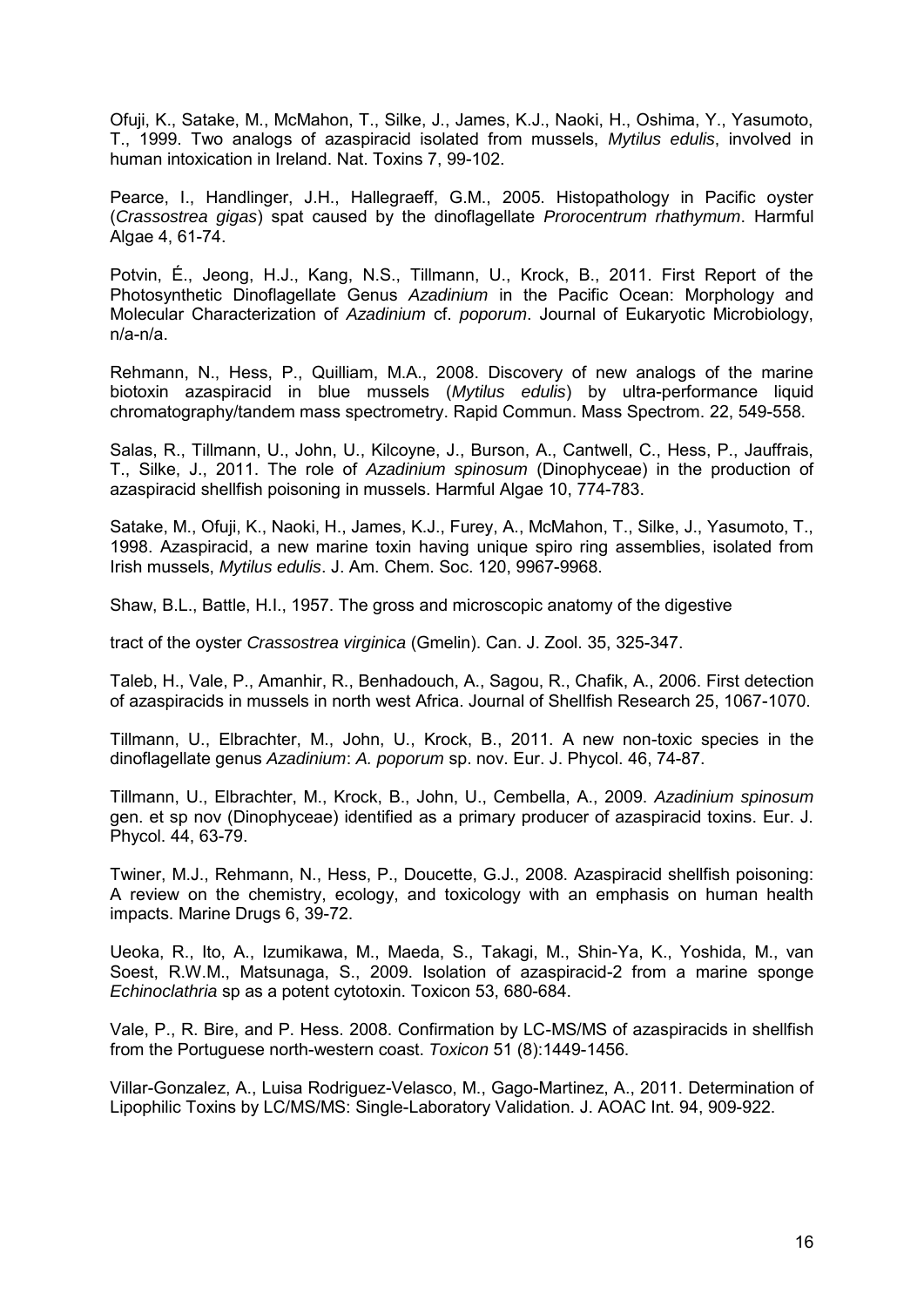Ofuji, K., Satake, M., McMahon, T., Silke, J., James, K.J., Naoki, H., Oshima, Y., Yasumoto, T., 1999. Two analogs of azaspiracid isolated from mussels, *Mytilus edulis*, involved in human intoxication in Ireland. Nat. Toxins 7, 99-102.

Pearce, I., Handlinger, J.H., Hallegraeff, G.M., 2005. Histopathology in Pacific oyster (*Crassostrea gigas*) spat caused by the dinoflagellate *Prorocentrum rhathymum*. Harmful Algae 4, 61-74.

Potvin, É., Jeong, H.J., Kang, N.S., Tillmann, U., Krock, B., 2011. First Report of the Photosynthetic Dinoflagellate Genus *Azadinium* in the Pacific Ocean: Morphology and Molecular Characterization of *Azadinium* cf. *poporum*. Journal of Eukaryotic Microbiology, n/a-n/a.

Rehmann, N., Hess, P., Quilliam, M.A., 2008. Discovery of new analogs of the marine biotoxin azaspiracid in blue mussels (*Mytilus edulis*) by ultra-performance liquid chromatography/tandem mass spectrometry. Rapid Commun. Mass Spectrom. 22, 549-558.

Salas, R., Tillmann, U., John, U., Kilcoyne, J., Burson, A., Cantwell, C., Hess, P., Jauffrais, T., Silke, J., 2011. The role of *Azadinium spinosum* (Dinophyceae) in the production of azaspiracid shellfish poisoning in mussels. Harmful Algae 10, 774-783.

Satake, M., Ofuji, K., Naoki, H., James, K.J., Furey, A., McMahon, T., Silke, J., Yasumoto, T., 1998. Azaspiracid, a new marine toxin having unique spiro ring assemblies, isolated from Irish mussels, *Mytilus edulis*. J. Am. Chem. Soc. 120, 9967-9968.

Shaw, B.L., Battle, H.I., 1957. The gross and microscopic anatomy of the digestive

tract of the oyster *Crassostrea virginica* (Gmelin). Can. J. Zool. 35, 325-347.

Taleb, H., Vale, P., Amanhir, R., Benhadouch, A., Sagou, R., Chafik, A., 2006. First detection of azaspiracids in mussels in north west Africa. Journal of Shellfish Research 25, 1067-1070.

Tillmann, U., Elbrachter, M., John, U., Krock, B., 2011. A new non-toxic species in the dinoflagellate genus *Azadinium*: *A. poporum* sp. nov. Eur. J. Phycol. 46, 74-87.

Tillmann, U., Elbrachter, M., Krock, B., John, U., Cembella, A., 2009. *Azadinium spinosum* gen. et sp nov (Dinophyceae) identified as a primary producer of azaspiracid toxins. Eur. J. Phycol. 44, 63-79.

Twiner, M.J., Rehmann, N., Hess, P., Doucette, G.J., 2008. Azaspiracid shellfish poisoning: A review on the chemistry, ecology, and toxicology with an emphasis on human health impacts. Marine Drugs 6, 39-72.

Ueoka, R., Ito, A., Izumikawa, M., Maeda, S., Takagi, M., Shin-Ya, K., Yoshida, M., van Soest, R.W.M., Matsunaga, S., 2009. Isolation of azaspiracid-2 from a marine sponge *Echinoclathria* sp as a potent cytotoxin. Toxicon 53, 680-684.

Vale, P., R. Bire, and P. Hess. 2008. Confirmation by LC-MS/MS of azaspiracids in shellfish from the Portuguese north-western coast. *Toxicon* 51 (8):1449-1456.

Villar-Gonzalez, A., Luisa Rodriguez-Velasco, M., Gago-Martinez, A., 2011. Determination of Lipophilic Toxins by LC/MS/MS: Single-Laboratory Validation. J. AOAC Int. 94, 909-922.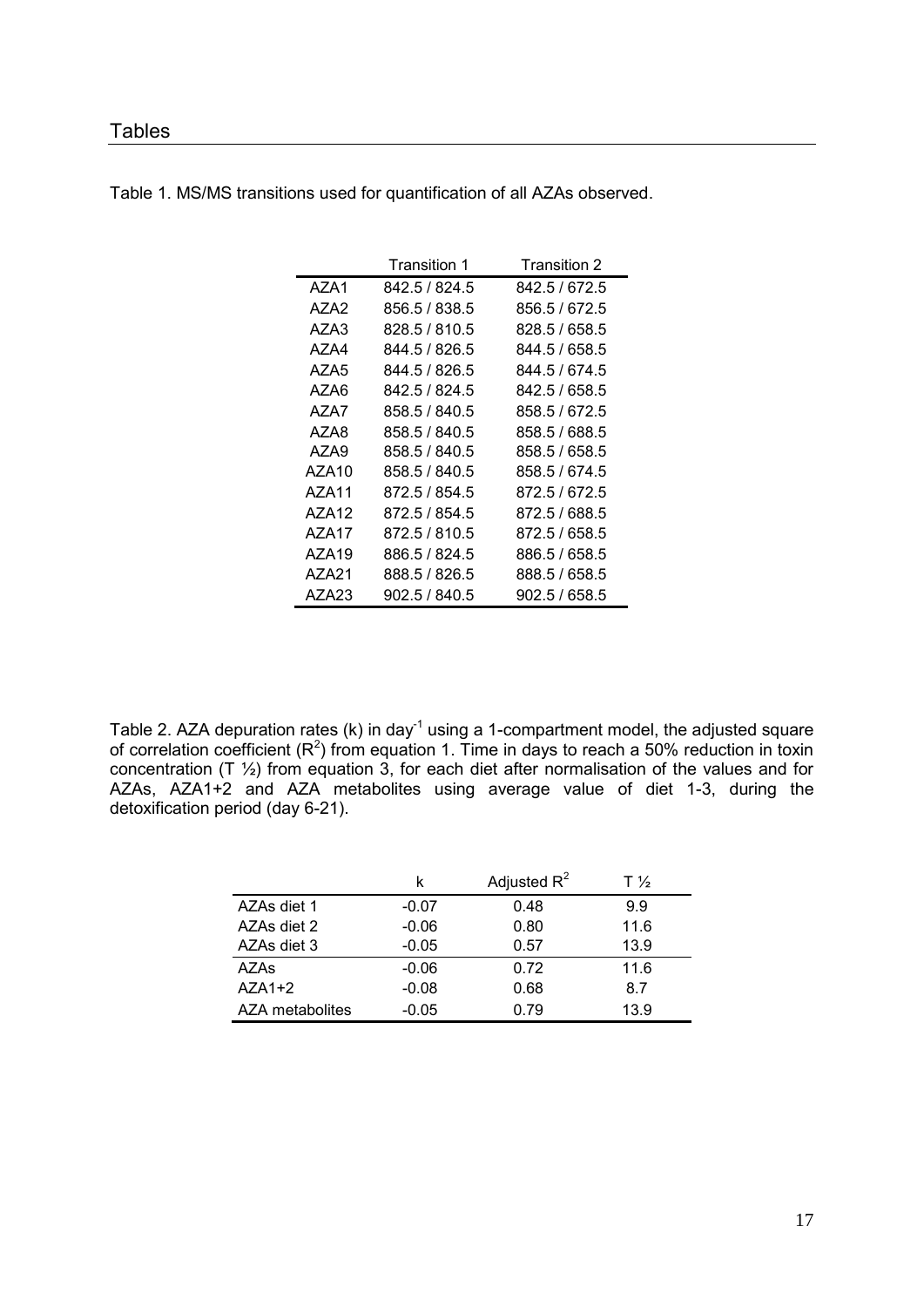### **Tables**

|                   | Transition 1  | Transition 2  |
|-------------------|---------------|---------------|
| AZA1              | 842.5 / 824.5 | 842.5 / 672.5 |
| AZA2              | 856.5 / 838.5 | 856.5 / 672.5 |
| AZA3              | 828.5 / 810.5 | 828.5 / 658.5 |
| AZA4              | 844.5 / 826.5 | 844.5 / 658.5 |
| AZA5              | 844.5 / 826.5 | 844.5 / 674.5 |
| AZA6              | 842.5 / 824.5 | 842.5 / 658.5 |
| AZA7              | 858.5 / 840.5 | 858.5 / 672.5 |
| AZA8              | 858.5 / 840.5 | 858.5 / 688.5 |
| AZA9              | 858.5 / 840.5 | 858.5 / 658.5 |
| AZA10             | 858.5 / 840.5 | 858.5 / 674.5 |
| AZA11             | 872.5 / 854.5 | 872.5/672.5   |
| AZA12             | 872.5 / 854.5 | 872.5 / 688.5 |
| AZA17             | 872.5 / 810.5 | 872.5 / 658.5 |
| AZA <sub>19</sub> | 886.5 / 824.5 | 886.5 / 658.5 |
| AZA21             | 888.5 / 826.5 | 888.5 / 658.5 |
| AZA23             | 902.5 / 840.5 | 902.5 / 658.5 |

Table 1. MS/MS transitions used for quantification of all AZAs observed.

Table 2. AZA depuration rates (k) in day<sup>-1</sup> using a 1-compartment model, the adjusted square of correlation coefficient  $(R^2)$  from equation 1. Time in days to reach a 50% reduction in toxin concentration (T ½) from equation 3, for each diet after normalisation of the values and for AZAs, AZA1+2 and AZA metabolites using average value of diet 1-3, during the detoxification period (day 6-21).

|                 | k       | Adjusted $R^2$ | $T\frac{1}{2}$ |
|-----------------|---------|----------------|----------------|
| AZAs diet 1     | $-0.07$ | 0.48           | 9.9            |
| AZAs diet 2     | $-0.06$ | 0.80           | 11.6           |
| AZAs diet 3     | $-0.05$ | 0.57           | 13.9           |
| AZAs            | $-0.06$ | 0.72           | 11.6           |
| $AZA1+2$        | $-0.08$ | 0.68           | 8.7            |
| AZA metabolites | $-0.05$ | 0.79           | 13.9           |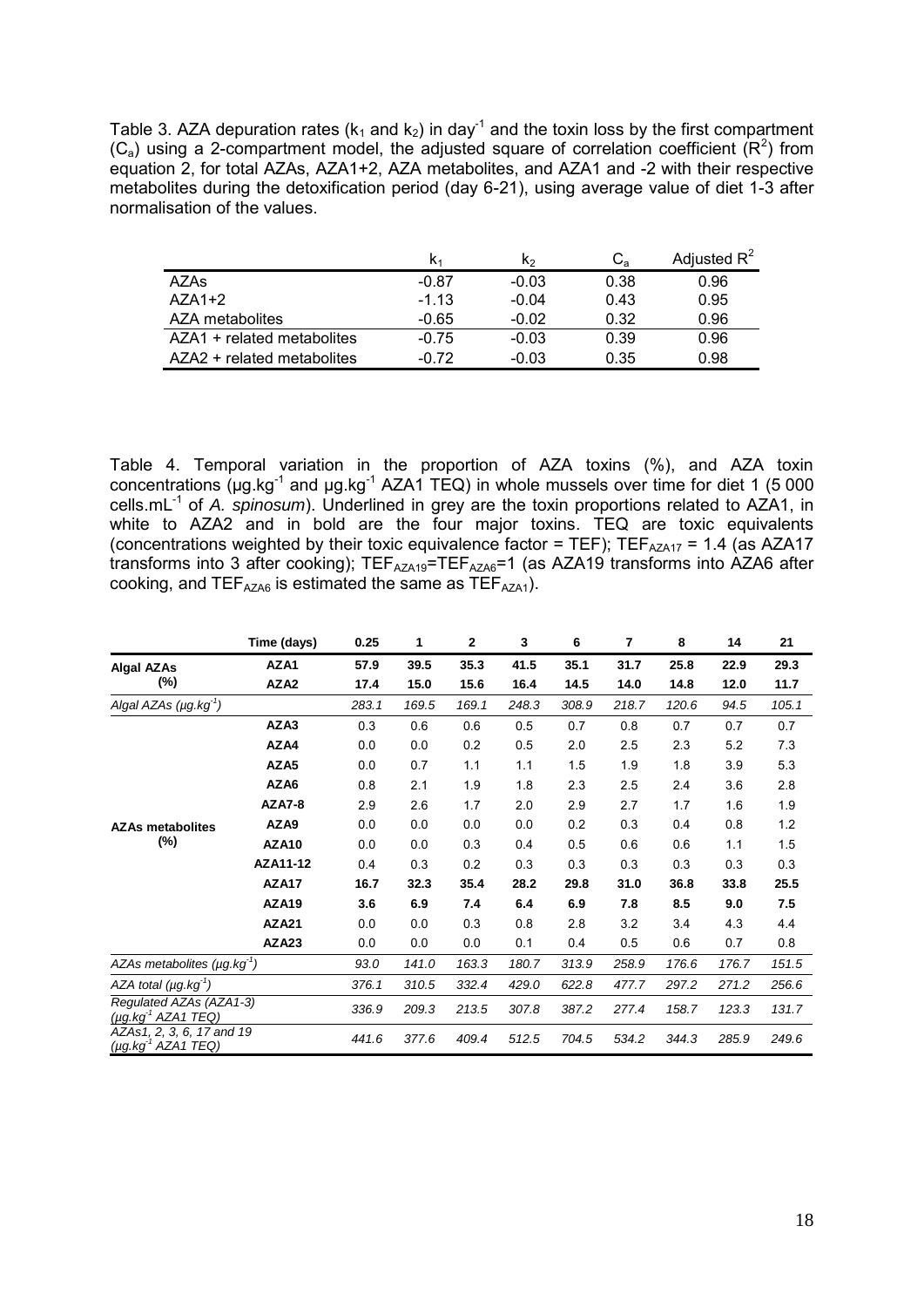Table 3. AZA depuration rates ( $k_1$  and  $k_2$ ) in day<sup>-1</sup> and the toxin loss by the first compartment  $(C_a)$  using a 2-compartment model, the adjusted square of correlation coefficient  $(R^2)$  from equation 2, for total AZAs, AZA1+2, AZA metabolites, and AZA1 and -2 with their respective metabolites during the detoxification period (day 6-21), using average value of diet 1-3 after normalisation of the values.

|                            |         | K2      | $C_{a}$ | Adjusted $R^2$ |
|----------------------------|---------|---------|---------|----------------|
| AZAs                       | $-0.87$ | $-0.03$ | 0.38    | 0.96           |
| $AZA1+2$                   | $-1.13$ | $-0.04$ | 0.43    | 0.95           |
| AZA metabolites            | $-0.65$ | $-0.02$ | 0.32    | 0.96           |
| AZA1 + related metabolites | $-0.75$ | $-0.03$ | 0.39    | 0.96           |
| AZA2 + related metabolites | $-0.72$ | $-0.03$ | 0.35    | 0.98           |

Table 4. Temporal variation in the proportion of AZA toxins (%), and AZA toxin concentrations ( $\mu$ g.kg<sup>-1</sup> and  $\mu$ g.kg<sup>-1</sup> AZA1 TEQ) in whole mussels over time for diet 1 (5 000 cells.mL-1 of *A. spinosum*). Underlined in grey are the toxin proportions related to AZA1, in white to AZA2 and in bold are the four major toxins. TEQ are toxic equivalents (concentrations weighted by their toxic equivalence factor = TEF);  $TEF_{AZA17} = 1.4$  (as AZA17 transforms into 3 after cooking);  $TEF<sub>AZA19</sub>=TEF<sub>AZA6</sub>=1$  (as AZA19 transforms into AZA6 after cooking, and  $TEF<sub>AZAG</sub>$  is estimated the same as  $TEF<sub>AZA1</sub>$ .

|                                                             | Time (days)      | 0.25  | 1     | 2     | 3     | 6     | 7     | 8     | 14    | 21    |
|-------------------------------------------------------------|------------------|-------|-------|-------|-------|-------|-------|-------|-------|-------|
| <b>Algal AZAs</b>                                           | AZA1             | 57.9  | 39.5  | 35.3  | 41.5  | 35.1  | 31.7  | 25.8  | 22.9  | 29.3  |
| (%)                                                         | AZA <sub>2</sub> | 17.4  | 15.0  | 15.6  | 16.4  | 14.5  | 14.0  | 14.8  | 12.0  | 11.7  |
| Algal AZAs $(\mu g.kg^1)$                                   |                  | 283.1 | 169.5 | 169.1 | 248.3 | 308.9 | 218.7 | 120.6 | 94.5  | 105.1 |
|                                                             | AZA3             | 0.3   | 0.6   | 0.6   | 0.5   | 0.7   | 0.8   | 0.7   | 0.7   | 0.7   |
|                                                             | AZA4             | 0.0   | 0.0   | 0.2   | 0.5   | 2.0   | 2.5   | 2.3   | 5.2   | 7.3   |
|                                                             | AZA <sub>5</sub> | 0.0   | 0.7   | 1.1   | 1.1   | 1.5   | 1.9   | 1.8   | 3.9   | 5.3   |
|                                                             | AZA6             | 0.8   | 2.1   | 1.9   | 1.8   | 2.3   | 2.5   | 2.4   | 3.6   | 2.8   |
| <b>AZAs metabolites</b>                                     | <b>AZA7-8</b>    | 2.9   | 2.6   | 1.7   | 2.0   | 2.9   | 2.7   | 1.7   | 1.6   | 1.9   |
|                                                             | AZA9             | 0.0   | 0.0   | 0.0   | 0.0   | 0.2   | 0.3   | 0.4   | 0.8   | 1.2   |
| (%)                                                         | AZA10            | 0.0   | 0.0   | 0.3   | 0.4   | 0.5   | 0.6   | 0.6   | 1.1   | 1.5   |
|                                                             | AZA11-12         | 0.4   | 0.3   | 0.2   | 0.3   | 0.3   | 0.3   | 0.3   | 0.3   | 0.3   |
|                                                             | AZA17            | 16.7  | 32.3  | 35.4  | 28.2  | 29.8  | 31.0  | 36.8  | 33.8  | 25.5  |
|                                                             | <b>AZA19</b>     | 3.6   | 6.9   | 7.4   | 6.4   | 6.9   | 7.8   | 8.5   | 9.0   | 7.5   |
|                                                             | <b>AZA21</b>     | 0.0   | 0.0   | 0.3   | 0.8   | 2.8   | 3.2   | 3.4   | 4.3   | 4.4   |
|                                                             | AZA23            | 0.0   | 0.0   | 0.0   | 0.1   | 0.4   | 0.5   | 0.6   | 0.7   | 0.8   |
| AZAs metabolites $(\mu g.kg')$                              |                  | 93.0  | 141.0 | 163.3 | 180.7 | 313.9 | 258.9 | 176.6 | 176.7 | 151.5 |
| AZA total $(\mu q.kq')$                                     |                  | 376.1 | 310.5 | 332.4 | 429.0 | 622.8 | 477.7 | 297.2 | 271.2 | 256.6 |
| Regulated AZAs (AZA1-3)<br>(µg.kg <sup>-1</sup> AZA1 TEQ)   |                  | 336.9 | 209.3 | 213.5 | 307.8 | 387.2 | 277.4 | 158.7 | 123.3 | 131.7 |
| AZAs1, 2, 3, 6, 17 and 19<br>(µg.kg <sup>-1</sup> AZA1 TEQ) |                  | 441.6 | 377.6 | 409.4 | 512.5 | 704.5 | 534.2 | 344.3 | 285.9 | 249.6 |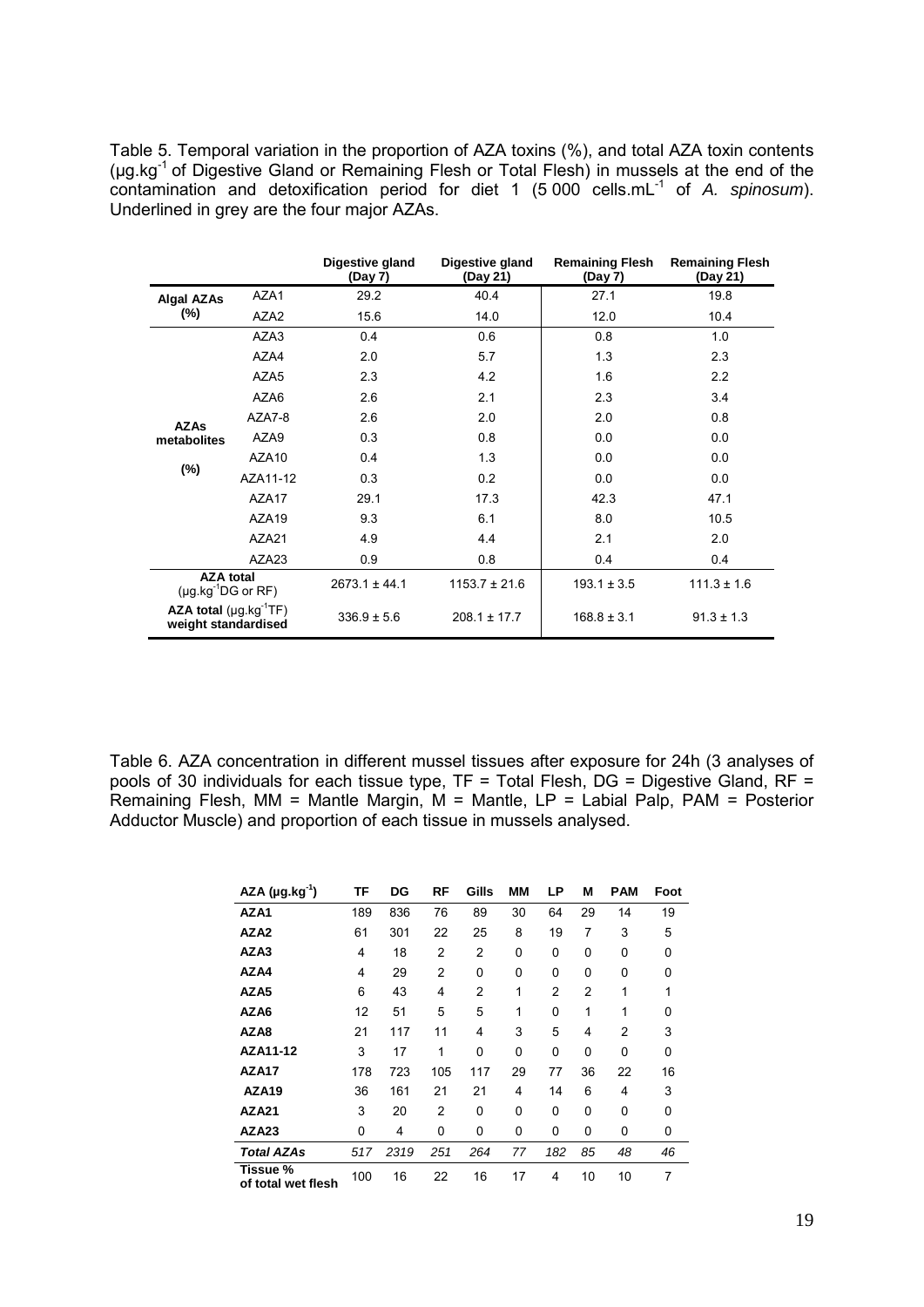Table 5. Temporal variation in the proportion of AZA toxins (%), and total AZA toxin contents (µg.kg-1 of Digestive Gland or Remaining Flesh or Total Flesh) in mussels at the end of the contamination and detoxification period for diet 1 (5 000 cells.mL<sup>-1</sup> of *A. spinosum*). Underlined in grey are the four major AZAs.

|                                                   |                   | Digestive gland<br>(Day 7) | Digestive gland<br>(Day 21) | <b>Remaining Flesh</b><br>(Day 7) | <b>Remaining Flesh</b><br>(Day 21) |
|---------------------------------------------------|-------------------|----------------------------|-----------------------------|-----------------------------------|------------------------------------|
| <b>Algal AZAs</b>                                 | AZA1              | 29.2                       | 40.4                        | 27.1                              | 19.8                               |
| $(\%)$                                            | AZA <sub>2</sub>  | 15.6                       | 14.0                        | 12.0                              | 10.4                               |
|                                                   | AZA3              | 0.4                        | 0.6                         | 0.8                               | 1.0                                |
|                                                   | AZA4              | 2.0                        | 5.7                         | 1.3                               | 2.3                                |
|                                                   | AZA <sub>5</sub>  | 2.3                        | 4.2                         | 1.6                               | 2.2                                |
|                                                   | AZA6              | 2.6                        | 2.1                         | 2.3                               | 3.4                                |
| <b>AZAs</b>                                       | AZA7-8            | 2.6                        | 2.0                         | 2.0                               | 0.8                                |
| metabolites                                       | AZA9              | 0.3                        | 0.8                         | 0.0                               | 0.0                                |
|                                                   | AZA <sub>10</sub> | 0.4                        | 1.3                         | 0.0                               | 0.0                                |
| $(\%)$                                            | AZA11-12          | 0.3                        | 0.2                         | 0.0                               | 0.0                                |
|                                                   | AZA17             | 29.1                       | 17.3                        | 42.3                              | 47.1                               |
|                                                   | AZA19             | 9.3                        | 6.1                         | 8.0                               | 10.5                               |
|                                                   | AZA21             | 4.9                        | 4.4                         | 2.1                               | 2.0                                |
|                                                   | AZA23             | 0.9                        | 0.8                         | 0.4                               | 0.4                                |
| <b>AZA total</b><br>(µg kg $^{-1}$ DG or RF)      |                   | $2673.1 \pm 44.1$          | $1153.7 \pm 21.6$           | $193.1 \pm 3.5$                   | $111.3 \pm 1.6$                    |
| AZA total $(\mu g.kg^1TF)$<br>weight standardised |                   | $336.9 \pm 5.6$            | $208.1 \pm 17.7$            | $168.8 \pm 3.1$                   | $91.3 \pm 1.3$                     |

Table 6. AZA concentration in different mussel tissues after exposure for 24h (3 analyses of pools of 30 individuals for each tissue type, TF = Total Flesh, DG = Digestive Gland, RF = Remaining Flesh, MM = Mantle Margin, M = Mantle, LP = Labial Palp, PAM = Posterior Adductor Muscle) and proportion of each tissue in mussels analysed.

| $AZA (µg.kg-1)$                | TF  | DG   | RF             | Gills          | ΜМ | LP             | М  | <b>PAM</b> | Foot |
|--------------------------------|-----|------|----------------|----------------|----|----------------|----|------------|------|
| AZA1                           | 189 | 836  | 76             | 89             | 30 | 64             | 29 | 14         | 19   |
| AZA2                           | 61  | 301  | 22             | 25             | 8  | 19             | 7  | 3          | 5    |
| AZA3                           | 4   | 18   | 2              | $\overline{2}$ | 0  | 0              | 0  | 0          | 0    |
| AZA4                           | 4   | 29   | $\overline{2}$ | 0              | 0  | 0              | 0  | 0          | 0    |
| AZA5                           | 6   | 43   | 4              | $\overline{2}$ | 1  | $\overline{2}$ | 2  | 1          | 1    |
| AZA6                           | 12  | 51   | 5              | 5              | 1  | 0              | 1  | 1          | 0    |
| AZA8                           | 21  | 117  | 11             | 4              | 3  | 5              | 4  | 2          | 3    |
| AZA11-12                       | 3   | 17   | 1              | $\mathbf{0}$   | 0  | 0              | 0  | 0          | 0    |
| AZA17                          | 178 | 723  | 105            | 117            | 29 | 77             | 36 | 22         | 16   |
| AZA <sub>19</sub>              | 36  | 161  | 21             | 21             | 4  | 14             | 6  | 4          | 3    |
| AZA21                          | 3   | 20   | 2              | $\Omega$       | 0  | 0              | 0  | $\Omega$   | 0    |
| AZA23                          | 0   | 4    | 0              | 0              | 0  | 0              | 0  | 0          | 0    |
| <b>Total AZAs</b>              | 517 | 2319 | 251            | 264            | 77 | 182            | 85 | 48         | 46   |
| Tissue %<br>of total wet flesh | 100 | 16   | 22             | 16             | 17 | 4              | 10 | 10         | 7    |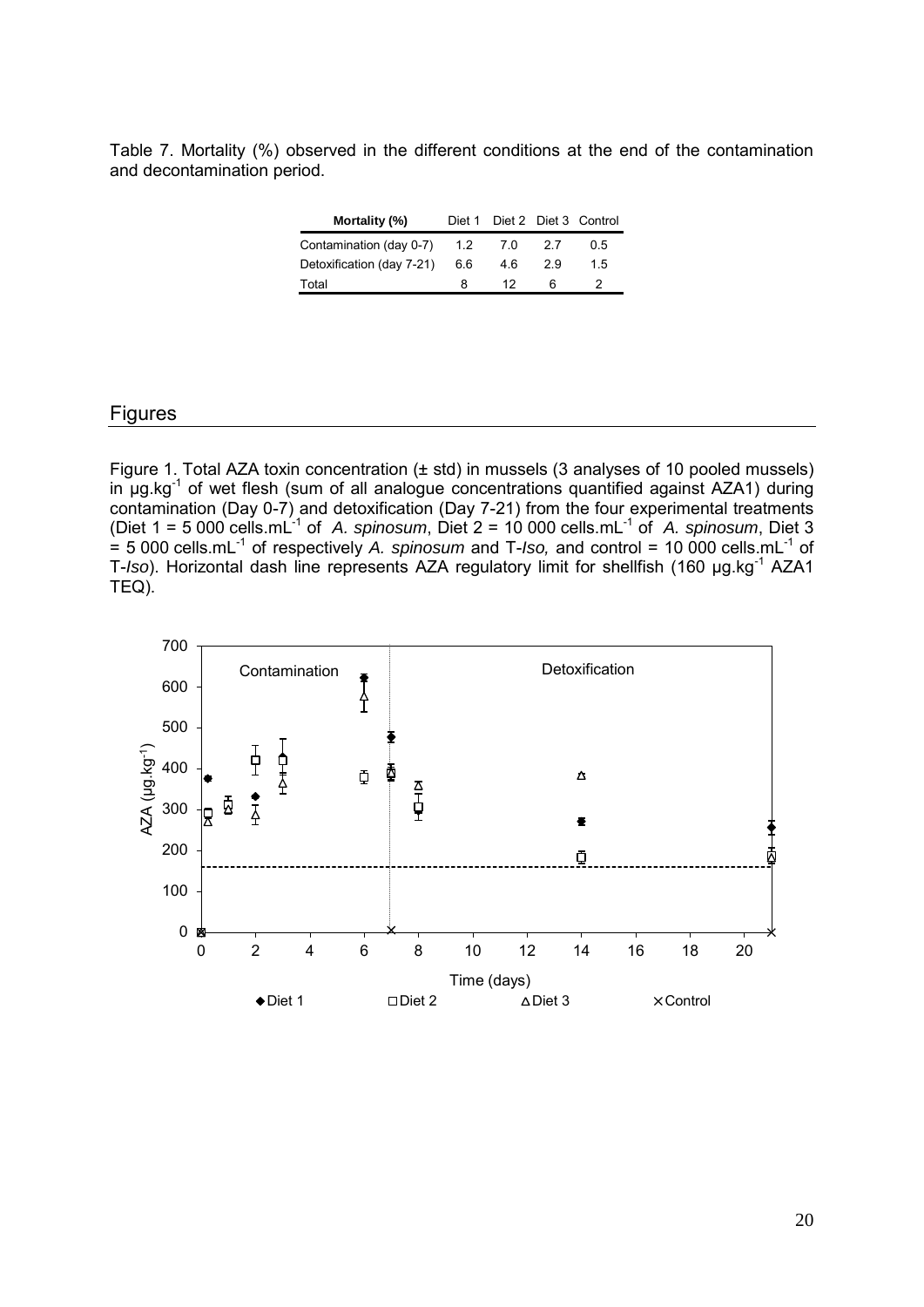Table 7. Mortality (%) observed in the different conditions at the end of the contamination and decontamination period.

| Mortality (%)             | Diet 1 |       |     | Diet 2 Diet 3 Control |
|---------------------------|--------|-------|-----|-----------------------|
| Contamination (day 0-7)   | $-1.2$ | - 7.0 | 2.7 | 0.5                   |
| Detoxification (day 7-21) | 6.6    | 4.6   | 29  | 15                    |
| Total                     | 8      | 12    | 6   | 2                     |

#### Figures

Figure 1. Total AZA toxin concentration (± std) in mussels (3 analyses of 10 pooled mussels) in  $\mu$ g.kg<sup>-1</sup> of wet flesh (sum of all analogue concentrations quantified against AZA1) during contamination (Day 0-7) and detoxification (Day 7-21) from the four experimental treatments (Diet  $1 = 5000$  cells.mL<sup>-1</sup> of *A. spinosum*, Diet  $2 = 10000$  cells.mL<sup>-1</sup> of *A. spinosum*, Diet 3  $=$  5 000 cells.mL<sup>-1</sup> of respectively *A. spinosum* and T-*Iso*, and control = 10 000 cells.mL<sup>-1</sup> of T-*Iso*). Horizontal dash line represents AZA regulatory limit for shellfish (160 µg.kg<sup>-1</sup> AZA1 TEQ).

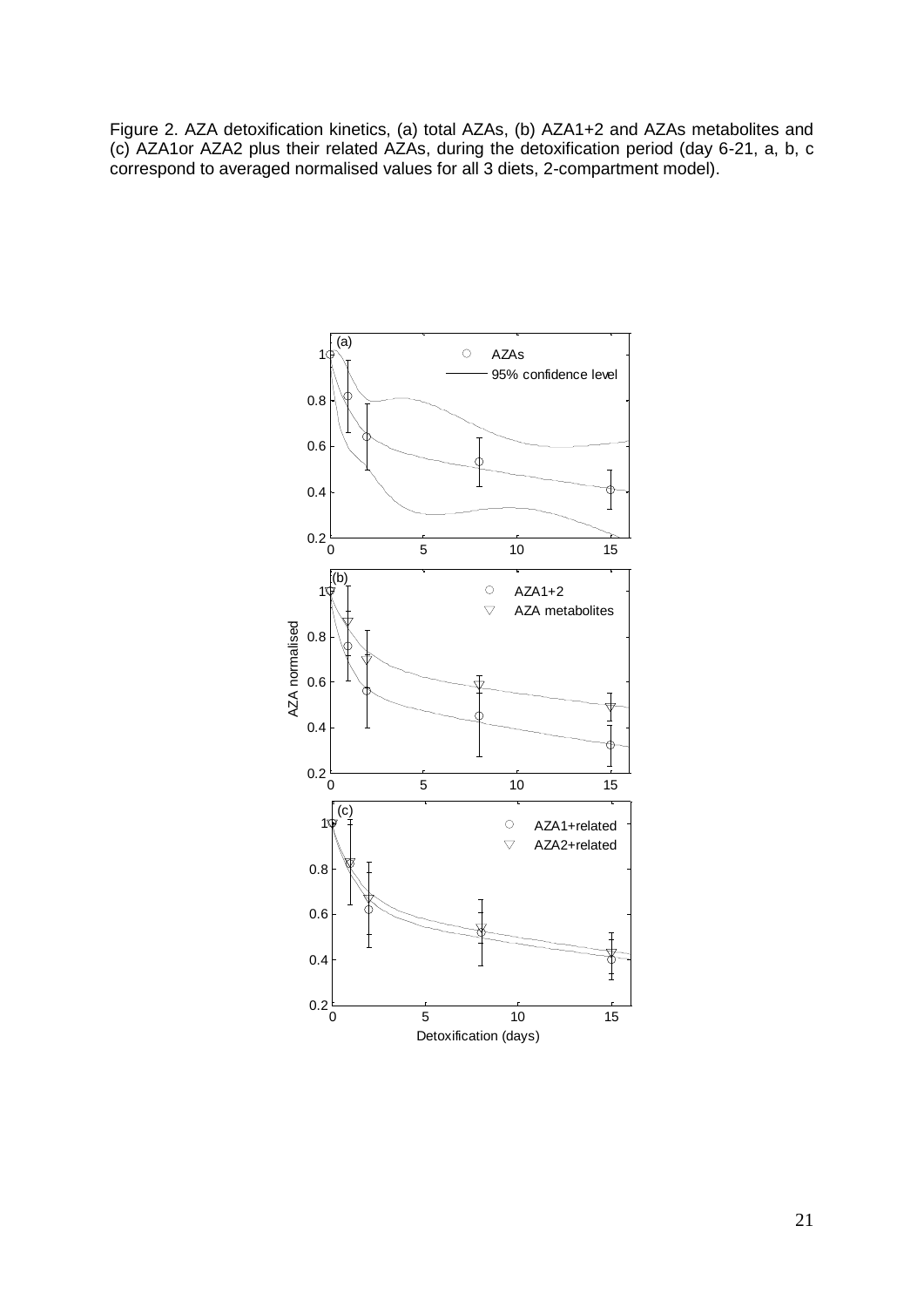Figure 2. AZA detoxification kinetics, (a) total AZAs, (b) AZA1+2 and AZAs metabolites and (c) AZA1or AZA2 plus their related AZAs, during the detoxification period (day 6-21, a, b, c correspond to averaged normalised values for all 3 diets, 2-compartment model).

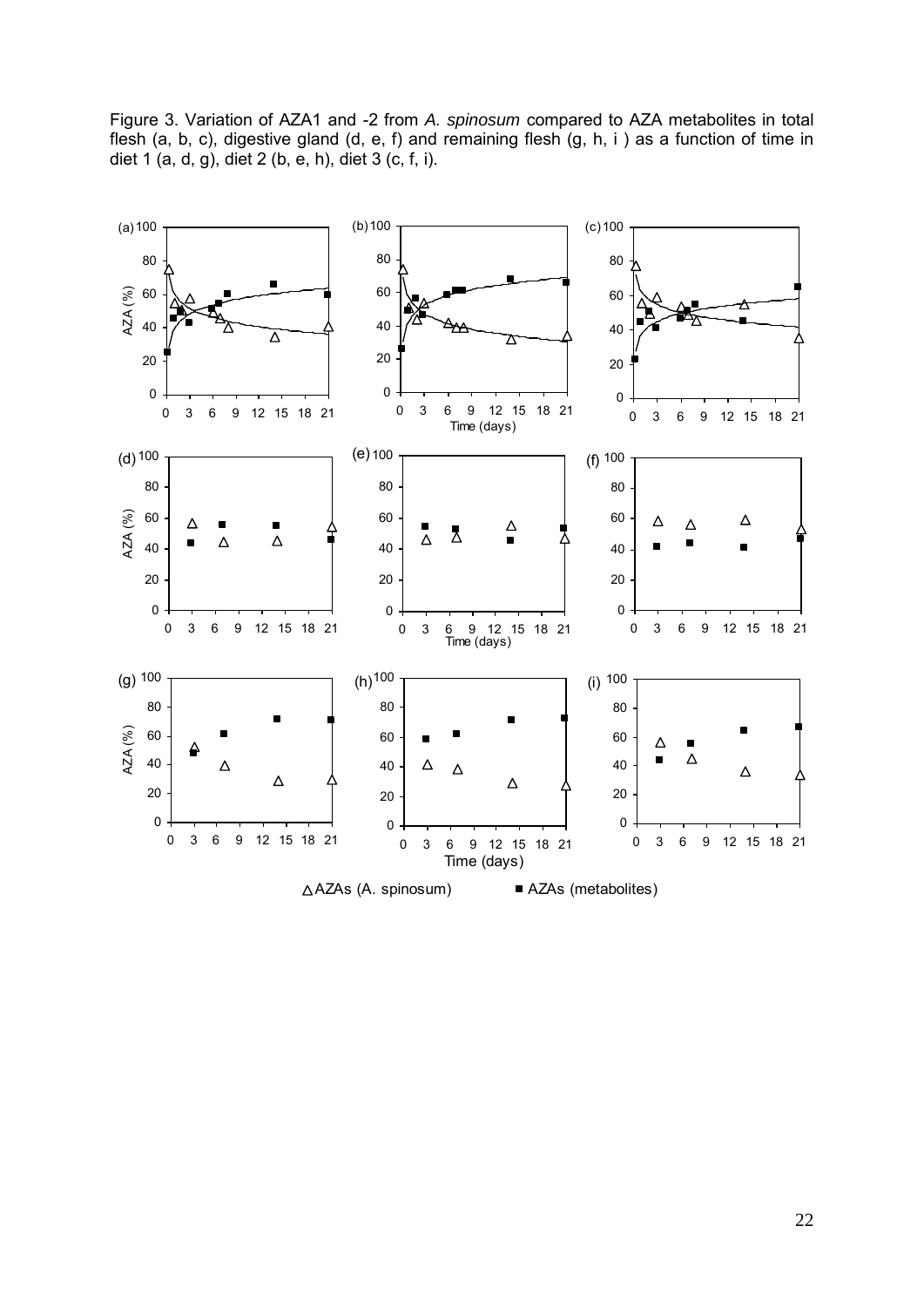Figure 3. Variation of AZA1 and -2 from *A. spinosum* compared to AZA metabolites in total flesh (a, b, c), digestive gland (d, e, f) and remaining flesh (g, h, i ) as a function of time in diet 1 (a, d, g), diet 2 (b, e, h), diet 3 (c, f, i).

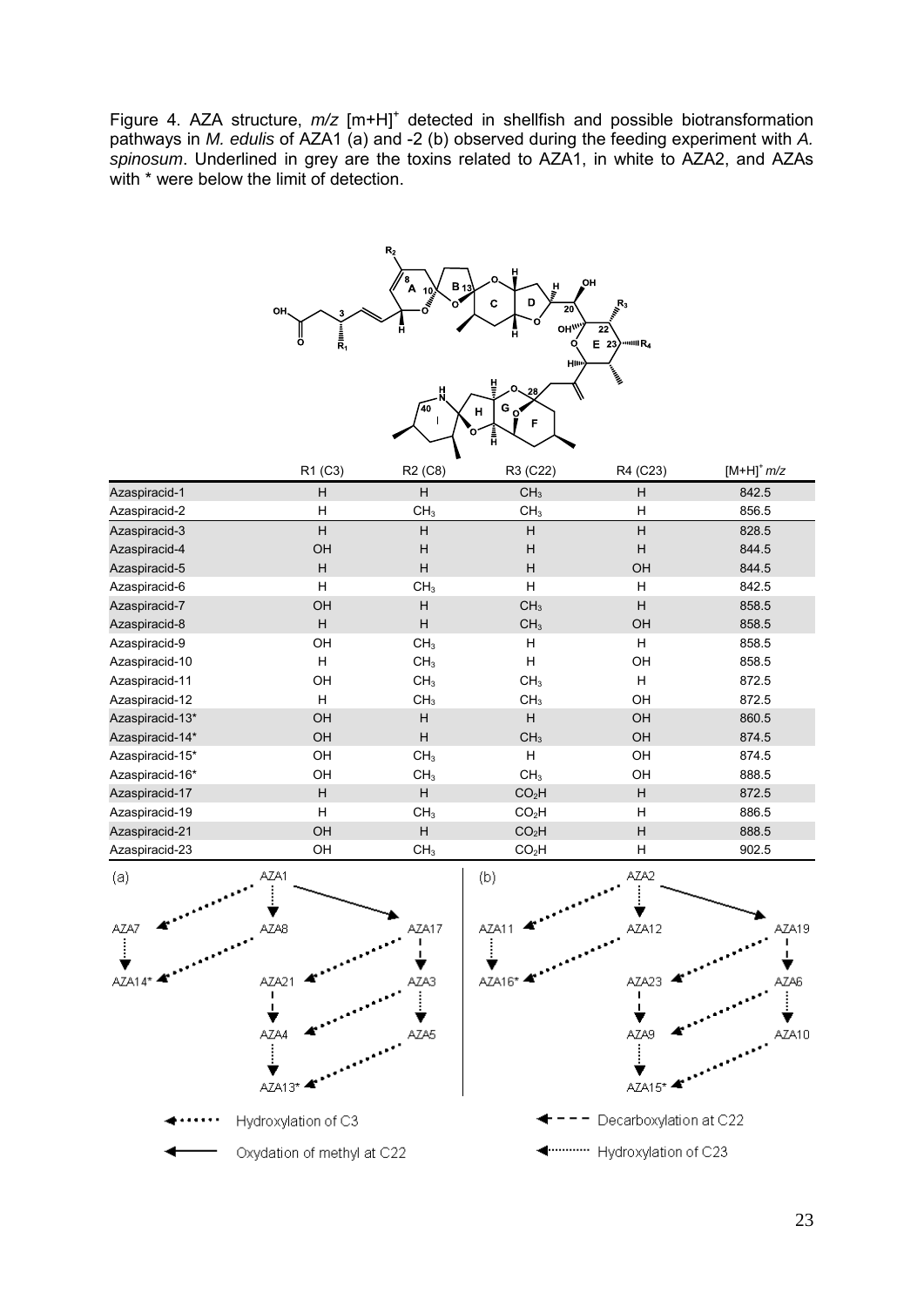Figure 4. AZA structure,  $m/z$  [m+H]<sup>+</sup> detected in shellfish and possible biotransformation pathways in *M. edulis* of AZA1 (a) and -2 (b) observed during the feeding experiment with *A. spinosum*. Underlined in grey are the toxins related to AZA1, in white to AZA2, and AZAs with \* were below the limit of detection.



|                 | R1 (C3)   | R <sub>2</sub> (C <sub>8</sub> ) | R3 (C22)          | R4 (C23) | $[M+H]^+ m/z$ |
|-----------------|-----------|----------------------------------|-------------------|----------|---------------|
| Azaspiracid-1   | H         | H                                | CH <sub>3</sub>   | H        | 842.5         |
| Azaspiracid-2   | H         | CH <sub>3</sub>                  | CH <sub>3</sub>   | H        | 856.5         |
| Azaspiracid-3   | H         | H                                | H                 | H        | 828.5         |
| Azaspiracid-4   | OH        | H                                | H                 | H        | 844.5         |
| Azaspiracid-5   | H         | H                                | H                 | OH       | 844.5         |
| Azaspiracid-6   | H         | CH <sub>3</sub>                  | H                 | н        | 842.5         |
| Azaspiracid-7   | OH        | H                                | CH <sub>3</sub>   | H        | 858.5         |
| Azaspiracid-8   | H         | H                                | CH <sub>3</sub>   | OH       | 858.5         |
| Azaspiracid-9   | OH        | CH <sub>3</sub>                  | H                 | H        | 858.5         |
| Azaspiracid-10  | н         | CH <sub>3</sub>                  | H                 | OH       | 858.5         |
| Azaspiracid-11  | OH        | CH <sub>3</sub>                  | CH <sub>3</sub>   | н        | 872.5         |
| Azaspiracid-12  | н         | CH <sub>3</sub>                  | CH <sub>3</sub>   | OH       | 872.5         |
| Azaspiracid-13* | OH        | H                                | H                 | OH       | 860.5         |
| Azaspiracid-14* | <b>OH</b> | H                                | CH <sub>3</sub>   | OH       | 874.5         |
| Azaspiracid-15* | OH        | CH <sub>3</sub>                  | H                 | OH       | 874.5         |
| Azaspiracid-16* | OH        | CH <sub>3</sub>                  | CH <sub>3</sub>   | OH       | 888.5         |
| Azaspiracid-17  | H         | H                                | CO <sub>2</sub> H | H        | 872.5         |
| Azaspiracid-19  | H         | CH <sub>3</sub>                  | CO <sub>2</sub> H | H        | 886.5         |
| Azaspiracid-21  | OH        | H                                | CO <sub>2</sub> H | H        | 888.5         |
| Azaspiracid-23  | OH        | CH <sub>3</sub>                  | CO <sub>2</sub> H | H        | 902.5         |